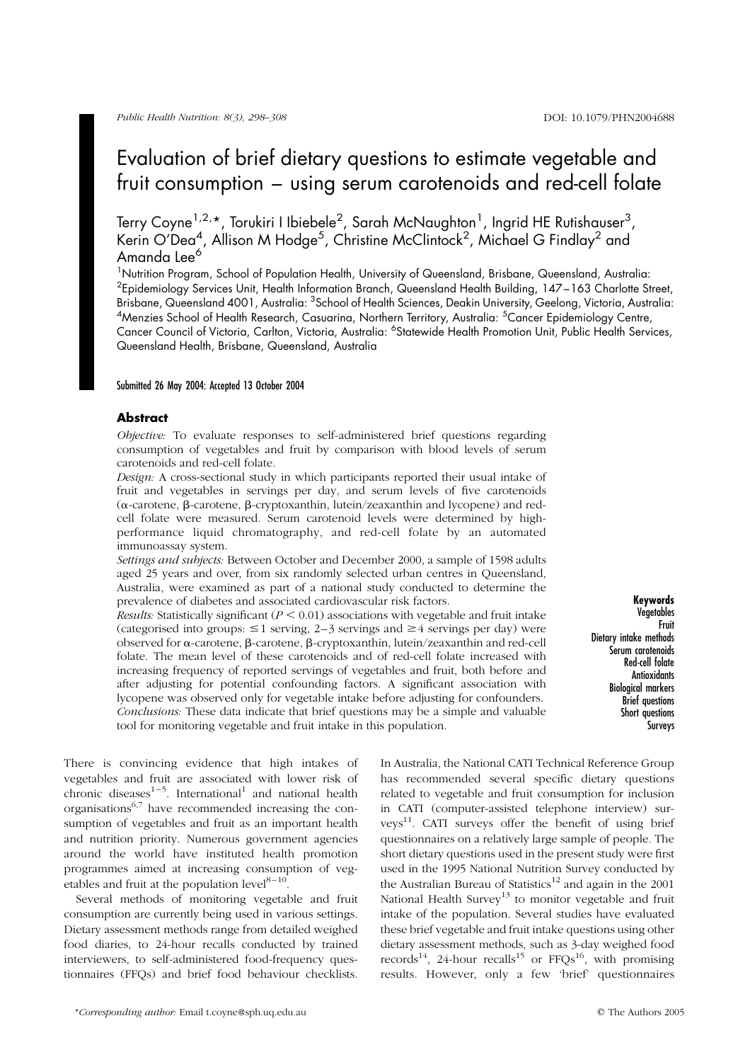# Evaluation of brief dietary questions to estimate vegetable and fruit consumption – using serum carotenoids and red-cell folate

Terry Coyne<sup>1,2,</sup>\*, Torukiri I Ibiebele<sup>2</sup>, Sarah McNaughton<sup>1</sup>, Ingrid HE Rutishauser<sup>3</sup>, Kerin O'Dea<sup>4</sup>, Allison M Hodge<sup>5</sup>, Christine McClintock<sup>2</sup>, Michael G Findlay<sup>2</sup> and Amanda Lee<sup>6</sup>

<sup>1</sup>Nutrition Program, School of Population Health, University of Queensland, Brisbane, Queensland, Australia:  $^2$ Epidemiology Services Unit, Health Information Branch, Queensland Health Building, 147–163 Charlotte Street, Brisbane, Queensland 4001, Australia: <sup>3</sup>School of Health Sciences, Deakin University, Geelong, Victoria, Australia:  $^4$ Menzies School of Health Research, Casuarina, Northern Territory, Australia:  $^5$ Cancer Epidemiology Centre, Cancer Council of Victoria, Carlton, Victoria, Australia: <sup>6</sup>Statewide Health Promotion Unit, Public Health Services, Queensland Health, Brisbane, Queensland, Australia

#### Submitted 26 May 2004: Accepted 13 October 2004

# **Abstract**

Objective: To evaluate responses to self-administered brief questions regarding consumption of vegetables and fruit by comparison with blood levels of serum carotenoids and red-cell folate.

Design: A cross-sectional study in which participants reported their usual intake of fruit and vegetables in servings per day, and serum levels of five carotenoids  $(\alpha$ -carotene,  $\beta$ -carotene,  $\beta$ -cryptoxanthin, lutein/zeaxanthin and lycopene) and redcell folate were measured. Serum carotenoid levels were determined by highperformance liquid chromatography, and red-cell folate by an automated immunoassay system.

Settings and subjects: Between October and December 2000, a sample of 1598 adults aged 25 years and over, from six randomly selected urban centres in Queensland, Australia, were examined as part of a national study conducted to determine the prevalence of diabetes and associated cardiovascular risk factors.

Results: Statistically significant ( $P < 0.01$ ) associations with vegetable and fruit intake (categorised into groups:  $\leq 1$  serving, 2–3 servings and  $\geq 4$  servings per day) were observed for  $\alpha$ -carotene,  $\beta$ -carotene,  $\beta$ -cryptoxanthin, lutein/zeaxanthin and red-cell folate. The mean level of these carotenoids and of red-cell folate increased with increasing frequency of reported servings of vegetables and fruit, both before and after adjusting for potential confounding factors. A significant association with lycopene was observed only for vegetable intake before adjusting for confounders. Conclusions: These data indicate that brief questions may be a simple and valuable tool for monitoring vegetable and fruit intake in this population.

Keywords Vegetables Fruit Dietary intake methods Serum carotenoids Red-cell folate Antioxidants Biological markers Brief questions Short questions Surveys

There is convincing evidence that high intakes of vegetables and fruit are associated with lower risk of chronic diseases<sup>1-5</sup>. International<sup>1</sup> and national health organisations $6,7$  have recommended increasing the consumption of vegetables and fruit as an important health and nutrition priority. Numerous government agencies around the world have instituted health promotion programmes aimed at increasing consumption of vegetables and fruit at the population level<sup>8-10</sup>.

Several methods of monitoring vegetable and fruit consumption are currently being used in various settings. Dietary assessment methods range from detailed weighed food diaries, to 24-hour recalls conducted by trained interviewers, to self-administered food-frequency questionnaires (FFQs) and brief food behaviour checklists.

In Australia, the National CATI Technical Reference Group has recommended several specific dietary questions related to vegetable and fruit consumption for inclusion in CATI (computer-assisted telephone interview) sur $v \text{eys}^{11}$ . CATI surveys offer the benefit of using brief questionnaires on a relatively large sample of people. The short dietary questions used in the present study were first used in the 1995 National Nutrition Survey conducted by the Australian Bureau of Statistics<sup>12</sup> and again in the 2001 National Health Survey<sup>13</sup> to monitor vegetable and fruit intake of the population. Several studies have evaluated these brief vegetable and fruit intake questions using other dietary assessment methods, such as 3-day weighed food records<sup>14</sup>, 24-hour recalls<sup>15</sup> or FFQs<sup>16</sup>, with promising results. However, only a few 'brief' questionnaires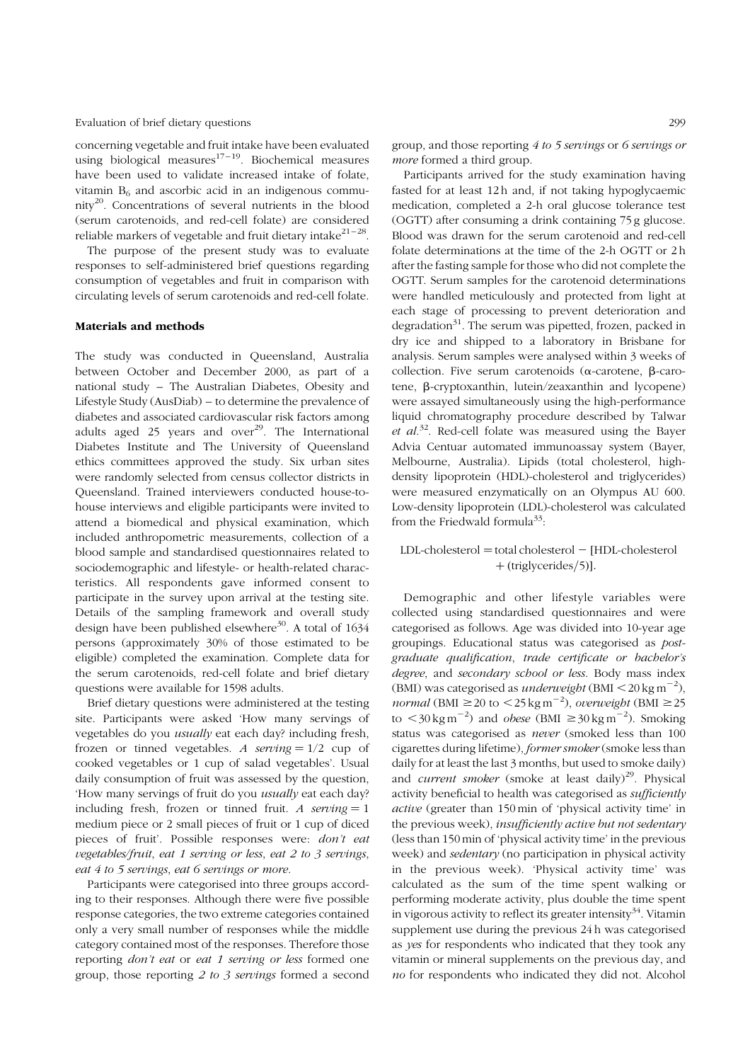concerning vegetable and fruit intake have been evaluated using biological measures<sup>17–19</sup>. Biochemical measures have been used to validate increased intake of folate, vitamin  $B_6$  and ascorbic acid in an indigenous community<sup>20</sup>. Concentrations of several nutrients in the blood (serum carotenoids, and red-cell folate) are considered reliable markers of vegetable and fruit dietary intake $21-28$ .

The purpose of the present study was to evaluate responses to self-administered brief questions regarding consumption of vegetables and fruit in comparison with circulating levels of serum carotenoids and red-cell folate.

# Materials and methods

The study was conducted in Queensland, Australia between October and December 2000, as part of a national study – The Australian Diabetes, Obesity and Lifestyle Study (AusDiab) – to determine the prevalence of diabetes and associated cardiovascular risk factors among adults aged 25 years and  $over<sup>29</sup>$ . The International Diabetes Institute and The University of Queensland ethics committees approved the study. Six urban sites were randomly selected from census collector districts in Queensland. Trained interviewers conducted house-tohouse interviews and eligible participants were invited to attend a biomedical and physical examination, which included anthropometric measurements, collection of a blood sample and standardised questionnaires related to sociodemographic and lifestyle- or health-related characteristics. All respondents gave informed consent to participate in the survey upon arrival at the testing site. Details of the sampling framework and overall study design have been published elsewhere<sup>30</sup>. A total of 1634 persons (approximately 30% of those estimated to be eligible) completed the examination. Complete data for the serum carotenoids, red-cell folate and brief dietary questions were available for 1598 adults.

Brief dietary questions were administered at the testing site. Participants were asked 'How many servings of vegetables do you usually eat each day? including fresh, frozen or tinned vegetables. A serving  $= 1/2$  cup of cooked vegetables or 1 cup of salad vegetables'. Usual daily consumption of fruit was assessed by the question, 'How many servings of fruit do you usually eat each day? including fresh, frozen or tinned fruit. A serving  $= 1$ medium piece or 2 small pieces of fruit or 1 cup of diced pieces of fruit'. Possible responses were: don't eat vegetables/fruit, eat 1 serving or less, eat 2 to 3 servings, eat 4 to 5 servings, eat 6 servings or more.

Participants were categorised into three groups according to their responses. Although there were five possible response categories, the two extreme categories contained only a very small number of responses while the middle category contained most of the responses. Therefore those reporting *don't eat* or *eat 1 serving or less* formed one group, those reporting 2 to 3 servings formed a second group, and those reporting 4 to 5 servings or 6 servings or more formed a third group.

Participants arrived for the study examination having fasted for at least 12 h and, if not taking hypoglycaemic medication, completed a 2-h oral glucose tolerance test (OGTT) after consuming a drink containing 75 g glucose. Blood was drawn for the serum carotenoid and red-cell folate determinations at the time of the 2-h OGTT or 2 h after the fasting sample for those who did not complete the OGTT. Serum samples for the carotenoid determinations were handled meticulously and protected from light at each stage of processing to prevent deterioration and degradation $31$ . The serum was pipetted, frozen, packed in dry ice and shipped to a laboratory in Brisbane for analysis. Serum samples were analysed within 3 weeks of collection. Five serum carotenoids ( $\alpha$ -carotene,  $\beta$ -carotene, b-cryptoxanthin, lutein/zeaxanthin and lycopene) were assayed simultaneously using the high-performance liquid chromatography procedure described by Talwar et  $al.^{32}$ . Red-cell folate was measured using the Bayer Advia Centuar automated immunoassay system (Bayer, Melbourne, Australia). Lipids (total cholesterol, highdensity lipoprotein (HDL)-cholesterol and triglycerides) were measured enzymatically on an Olympus AU 600. Low-density lipoprotein (LDL)-cholesterol was calculated from the Friedwald formula<sup>33</sup>:

# $LDL$ -cholesterol  $=$  total cholesterol  $-$  [HDL-cholesterol  $+$  (triglycerides/5)].

Demographic and other lifestyle variables were collected using standardised questionnaires and were categorised as follows. Age was divided into 10-year age groupings. Educational status was categorised as postgraduate qualification, trade certificate or bachelor's degree, and secondary school or less. Body mass index (BMI) was categorised as *underweight* (BMI  $<$  20 kg m<sup>-2</sup>), normal (BMI  $\geq$  20 to  $\lt$  25 kg m<sup>-2</sup>), overweight (BMI  $\geq$  25 to  $\langle 30 \text{ kg m}^{-2} \rangle$  and *obese* (BMI  $\geq$  30 kg m<sup>-2</sup>). Smoking status was categorised as never (smoked less than 100 cigarettes during lifetime), former smoker (smoke less than daily for at least the last 3 months, but used to smoke daily) and *current smoker* (smoke at least daily)<sup>29</sup>. Physical activity beneficial to health was categorised as sufficiently active (greater than 150 min of 'physical activity time' in the previous week), insufficiently active but not sedentary (less than 150 min of 'physical activity time' in the previous week) and sedentary (no participation in physical activity in the previous week). 'Physical activity time' was calculated as the sum of the time spent walking or performing moderate activity, plus double the time spent in vigorous activity to reflect its greater intensity<sup>34</sup>. Vitamin supplement use during the previous 24 h was categorised as yes for respondents who indicated that they took any vitamin or mineral supplements on the previous day, and no for respondents who indicated they did not. Alcohol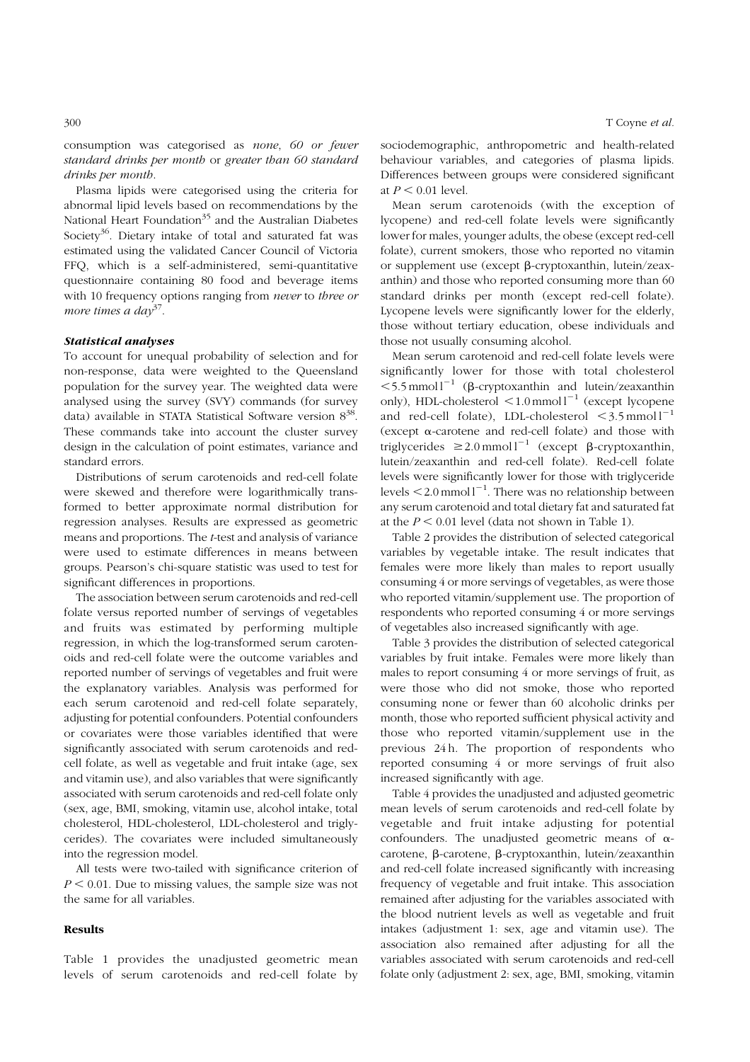consumption was categorised as none, 60 or fewer standard drinks per month or greater than 60 standard drinks per month.

Plasma lipids were categorised using the criteria for abnormal lipid levels based on recommendations by the National Heart Foundation<sup>35</sup> and the Australian Diabetes Society<sup>36</sup>. Dietary intake of total and saturated fat was estimated using the validated Cancer Council of Victoria FFQ, which is a self-administered, semi-quantitative questionnaire containing 80 food and beverage items with 10 frequency options ranging from *never* to *three or* more times a day<sup>37</sup>.

# Statistical analyses

To account for unequal probability of selection and for non-response, data were weighted to the Queensland population for the survey year. The weighted data were analysed using the survey (SVY) commands (for survey data) available in STATA Statistical Software version 8<sup>38</sup>. These commands take into account the cluster survey design in the calculation of point estimates, variance and standard errors.

Distributions of serum carotenoids and red-cell folate were skewed and therefore were logarithmically transformed to better approximate normal distribution for regression analyses. Results are expressed as geometric means and proportions. The t-test and analysis of variance were used to estimate differences in means between groups. Pearson's chi-square statistic was used to test for significant differences in proportions.

The association between serum carotenoids and red-cell folate versus reported number of servings of vegetables and fruits was estimated by performing multiple regression, in which the log-transformed serum carotenoids and red-cell folate were the outcome variables and reported number of servings of vegetables and fruit were the explanatory variables. Analysis was performed for each serum carotenoid and red-cell folate separately, adjusting for potential confounders. Potential confounders or covariates were those variables identified that were significantly associated with serum carotenoids and redcell folate, as well as vegetable and fruit intake (age, sex and vitamin use), and also variables that were significantly associated with serum carotenoids and red-cell folate only (sex, age, BMI, smoking, vitamin use, alcohol intake, total cholesterol, HDL-cholesterol, LDL-cholesterol and triglycerides). The covariates were included simultaneously into the regression model.

All tests were two-tailed with significance criterion of  $P \le 0.01$ . Due to missing values, the sample size was not the same for all variables.

## Results

[Table 1](#page-3-0) provides the unadjusted geometric mean levels of serum carotenoids and red-cell folate by

sociodemographic, anthropometric and health-related behaviour variables, and categories of plasma lipids. Differences between groups were considered significant at  $P \leq 0.01$  level.

Mean serum carotenoids (with the exception of lycopene) and red-cell folate levels were significantly lower for males, younger adults, the obese (except red-cell folate), current smokers, those who reported no vitamin or supplement use (except β-cryptoxanthin, lutein/zeaxanthin) and those who reported consuming more than 60 standard drinks per month (except red-cell folate). Lycopene levels were significantly lower for the elderly, those without tertiary education, obese individuals and those not usually consuming alcohol.

Mean serum carotenoid and red-cell folate levels were significantly lower for those with total cholesterol  $<$  5.5 mmol l<sup>-1</sup> ( $\beta$ -cryptoxanthin and lutein/zeaxanthin only), HDL-cholesterol  $\leq 1.0$  mmol l<sup>-1</sup> (except lycopene and red-cell folate), LDL-cholesterol  $\leq 3.5$  mmol l<sup>-1</sup> (except a-carotene and red-cell folate) and those with triglycerides  $\geq 2.0$  mmol l<sup>-1</sup> (except  $\beta$ -cryptoxanthin, lutein/zeaxanthin and red-cell folate). Red-cell folate levels were significantly lower for those with triglyceride levels  $\leq$  2.0 mmol l<sup>-1</sup>. There was no relationship between any serum carotenoid and total dietary fat and saturated fat at the  $P < 0.01$  level (data not shown in [Table 1](#page-3-0)).

[Table 2](#page-4-0) provides the distribution of selected categorical variables by vegetable intake. The result indicates that females were more likely than males to report usually consuming 4 or more servings of vegetables, as were those who reported vitamin/supplement use. The proportion of respondents who reported consuming 4 or more servings of vegetables also increased significantly with age.

[Table 3](#page-5-0) provides the distribution of selected categorical variables by fruit intake. Females were more likely than males to report consuming 4 or more servings of fruit, as were those who did not smoke, those who reported consuming none or fewer than 60 alcoholic drinks per month, those who reported sufficient physical activity and those who reported vitamin/supplement use in the previous 24 h. The proportion of respondents who reported consuming 4 or more servings of fruit also increased significantly with age.

[Table 4](#page-6-0) provides the unadjusted and adjusted geometric mean levels of serum carotenoids and red-cell folate by vegetable and fruit intake adjusting for potential confounders. The unadjusted geometric means of  $\alpha$ carotene,  $\beta$ -carotene,  $\beta$ -cryptoxanthin, lutein/zeaxanthin and red-cell folate increased significantly with increasing frequency of vegetable and fruit intake. This association remained after adjusting for the variables associated with the blood nutrient levels as well as vegetable and fruit intakes (adjustment 1: sex, age and vitamin use). The association also remained after adjusting for all the variables associated with serum carotenoids and red-cell folate only (adjustment 2: sex, age, BMI, smoking, vitamin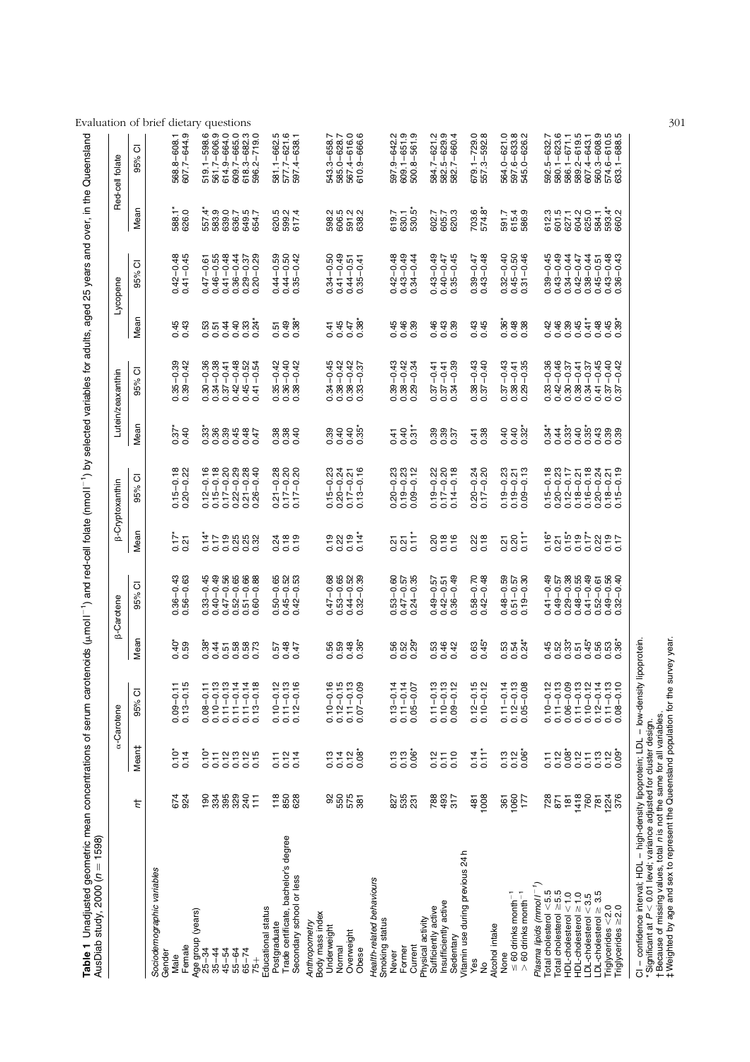<span id="page-3-0"></span>

| 614.9-664.0<br>581.1-662.5<br>577.7-621.6<br>597.4-638.1<br>585.0-628.7<br>567.4-616.0<br>610.9-666.6<br>564.0-621.0<br>597.6-633.8<br>545.0-626.2<br>592.5-632.7<br>580.1-623.6<br>586.1-671.1<br>589.2-619.5<br>519.1-598.6<br>541 7-606.9<br>597.9-642.2<br>609.1-651.9<br>500.8-561.9<br>584.7-621.2<br>574.6-610.5<br>633.1-688.5<br>607.4-643.1<br>568.8-608.1<br>609.7-665.<br>618.3-682.3<br>582.5-629.<br>$679.1 - 729.$<br>560.3-608.<br>582.7-660.<br>557.3-592<br>ō<br>95%<br>588.1*<br>Mean<br>593.4*<br>703.6<br>574.8*<br>626.0<br>557.4*<br>639.0<br>649.5<br>654.7<br>630.1<br>530.5'<br>604.2<br>625.0<br>636.7<br>620.5<br>599.2<br>617.4<br>Ņ<br>606.5<br>591.2<br>638.2<br>602.7<br>620.3<br>591.7<br>615.4<br>586.9<br>612.3<br>601.5<br>584.1<br>660.2<br>619.7<br>605.7<br>627.1<br>598.<br>$0.42 - 0.48$<br>$0.41 - 0.45$<br>$0.32 - 0.40$<br>$0.45 - 0.50$<br>$0.41 - 0.48$<br>$0.44 - 0.59$<br>$0.44 - 0.50$<br>$0.35 - 0.42$<br>$0.34 - 0.50$<br>$0.41 - 0.49$<br>$0.44 - 0.51$<br>$0.35 - 0.41$<br>$0.42 - 0.48$<br>$0.43 - 0.49$<br>$0.43 - 0.49$<br>$0.39 - 0.47$<br>$0.43 - 0.48$<br>$0.31 - 0.46$<br>$\begin{array}{l} 0.00000000000\\ 0.000000000\\ 0.00000000\\ 0.0000000\\ 0.000000\\ 0.000000\\ 0.000000\\ 0.000000\\ 0.00000\\ 0.00000\\ 0.00000\\ 0.00000\\ 0.00000\\ 0.00000\\ 0.00000\\ 0.00000\\ 0.00000\\ 0.00000\\ 0.00000\\ 0.00000\\ 0.00000\\ 0.00$<br>$0.47 - 0.61$<br>$0.46 - 0.55$<br>$0.36 - 0.44$<br>$0.29 - 0.37$<br>$0.20 - 0.29$<br>$0.34 - 0.44$<br>$0.40 - 0.47$<br>$0.35 - 0.45$<br>$\overline{\circ}$<br>95%<br>Mean<br>$0.38^{+0.0}$<br><u>.</u><br>1445.<br>145<br>စ်ရေး<br>၁၀၀၀<br>$\frac{9}{5}$ $\frac{8}{5}$ $\frac{4}{5}$<br>$0.45$<br>0.39<br>0.43<br>88000000<br>0.46<br>0.43<br>0.43<br>0.51<br>0.51<br>0.44<br>0.51<br>$0.35 - 0.39$<br>$0.39 - 0.42$<br>$0.34 - 0.38$<br>$0.42 - 0.48$<br>$0.45 - 0.52$<br>$0.41 - 0.54$<br>$0.35 - 0.42$<br>$0.36 - 0.40$<br>$0.38 - 0.42$<br>$\begin{array}{c} 0.34 - 0.45 \\ 0.38 - 0.42 \\ 0.38 - 0.42 \\ 0.38 - 0.42 \\ 0.33 - 0.37 \end{array}$<br>$0.39 - 0.43$<br>$0.38 - 0.42$<br>$0.29 - 0.34$<br>$0.38 - 0.43$<br>$-0.40$<br>$0.37 - 0.43$<br>$0.38 - 0.41$<br>$29 - 0.35$<br>$0.33 - 0.36$<br>$0.42 - 0.46$<br>$0.34 - 0.37$<br>$0.41 - 0.45$<br>$0.37 - 0.40$<br>$0.37 - 0.42$<br>$0.30 - 0.36$<br>$0.34 - 0.39$<br>$0.30 - 0.37$<br>$0.38 - 0.41$<br>$0.37 - 0.41$<br>$0.37 - 0.41$<br>$-0.41$<br>95% CI<br>0.37<br>0.37<br>Mean<br>$0.40$<br>$0.31*$<br>$0.37*$<br>$0.32*$<br>0.33<br>0.36<br>a 9 9 5<br>8 9 9 6<br>0 0 0 0<br>0.40<br>0.39<br>5<br>0.48<br>0.07<br>0.37<br>0.40<br>0.40<br>88840<br>0.41<br>0.39<br>$0.41$<br>0.38<br>$0.22 - 0.29$<br>$0.15 - 0.18$<br>$0.20 - 0.22$<br>$0.15 - 0.18$<br>$0.17 - 0.20$<br>$0.21 - 0.28$<br>$0.26 - 0.40$<br>$0.21 - 0.28$<br>$0.17 - 0.20$<br>$0.17 - 0.20$<br>$0.20 - 0.23$<br>$0.19 - 0.23$<br>$0.09 - 0.12$<br>$0.19 - 0.22$<br>$0.17 - 0.20$<br>$\begin{array}{c} 0.15 - 0.18 \\ 0.20 - 0.23 \\ 0.12 - 0.17 \\ 0.18 - 0.21 \end{array}$<br>$0.12 - 0.16$<br>$0.15 - 0.23$<br>$0.20 - 0.24$<br>$0.17 - 0.21$<br>$0.13 - 0.16$<br>$0.14 - 0.18$<br>$0.20 - 0.24$<br>$0.17 - 0.20$<br>$0.19 - 0.23$<br>$0.19 - 0.21$<br>$0.09 - 0.13$<br>$0.16 - 0.18$<br>$0.20 - 0.24$<br>$0.18 - 0.21$<br>$0.15 - 0.19$<br>ō<br>95%<br>Mean<br>$P_0 \overset{\bullet}{\underset{\circ}{\mathcal{C}}} \overset{\bullet}{\underset{\circ}{\mathcal{C}}} \overset{\bullet}{\underset{\circ}{\mathcal{C}}} \overset{\bullet}{\underset{\circ}{\mathcal{C}}}$<br>.<br>19 이 이 이 이<br>19 이 이 이 이<br>ੈ: 17<br>0.21<br>ត្តត្ត÷្ត<br>ភ្លូង ÷្ន<br>$0.16$ <sup>*</sup><br>$0.17$<br>0.17<br>0.19<br>0.25<br>0.32<br>경우<br>이 이 이<br>0.20<br>0.18<br>0.78<br>0.21<br>$0.49 - 0.56$<br>$0.32 - 0.40$<br>$0.36 - 0.43$<br>$0.56 - 0.63$<br>$0.33 - 0.45$<br>$0.40 - 0.49$<br>$0.47 - 0.56$<br>$0.52 - 0.65$<br>$0.51 - 0.66$<br>$0.60 - 0.88$<br>$0.50 - 0.65$<br>$0.45 - 0.52$<br>$0.42 - 0.53$<br>$0.47 - 0.68$<br>$0.53 - 0.65$<br>$0.44 - 0.52$<br>$0.32 - 0.39$<br>$0.53 - 0.60$<br>$0.58 - 0.70$<br>$0.42 - 0.48$<br>$0.48 - 0.59$<br>$0.51 - 0.57$<br>$0.41 - 0.49$<br>0.49-0.57<br>$0.29 - 0.38$<br>$0.48 - 0.55$<br>$0.41 - 0.49$<br>$0.52 - 0.61$<br>$0.47 - 0.57$<br>$0.24 - 0.35$<br>$0.36 - 0.49$<br>$0.19 - 0.30$<br>$0.49 - 0.57$<br>$0.42 - 0.51$<br>ō<br>95%<br>Mean<br>$0.40*$<br>$0.45*$<br>$0.33*$<br>$0.38*$<br>0.48<br>0.52*<br>0.29*<br>554<br>554<br>555<br>ង់ ១ ១ ភូមិ<br>ភូមិ ១ ១<br>ភូមិ ០ ០<br>0.56<br>0.59<br>56<br>0.42<br>0.42<br>0.45<br>0.59<br>0.44<br>0.58<br>0.58<br>0.73<br>0.53<br>0.63<br>0.52<br>0.57<br>0.48<br>0.07<br>0.51<br>ö<br>$\begin{array}{c} 0.10-0.16 \\ 0.12-0.15 \\ 0.11-0.13 \\ 0.07-0.09 \end{array}$<br>$0.11 - 0.13$<br>$0.10 - 0.13$<br>$0.09 - 0.12$<br>$0.12 - 0.15$<br>$0.10 - 0.12$<br>$0.11 - 0.14$<br>$0.12 - 0.13$<br>$0.05 - 0.08$<br>$0.09 - 0.11$<br>$0.13 - 0.15$<br>$\begin{array}{l} 0.08 - 0.11 \\ 0.10 - 0.13 \\ 0.11 - 0.13 \\ 0.11 - 0.14 \\ 0.11 - 0.14 \\ 0.11 - 0.14 \\ 0.13 - 0.18 \end{array}$<br>$0.10 - 0.12$<br>$0.11 - 0.13$<br>$0.12 - 0.16$<br>$0.13 - 0.14$<br>$0.11 - 0.14$<br>$0.05 - 0.07$<br>$\overline{\circ}$<br>95%<br>Mean‡<br>$7728$<br>0.08<br>$\begin{array}{c}\n 0.7 \\  0.7 \\  0.0\n\end{array}$<br>nne<br>Sing<br>Sing<br>$\overline{0.11}^*$<br>na vertes<br>Codo<br>$\begin{array}{c}\n 2 \\  2 \\  0 \\  0 \\  0\n \end{array}$<br>$0.10^{\circ}$<br>$0.19$<br>$0.19$<br>$0.15$<br>0.12<br>0.12<br>0.13<br>0.12<br>0.10<br>0.14<br>0.14<br>$0.12$<br>$0.14$<br>0.11<br>0.11<br>$\overline{0}$ .11<br>1418<br>674<br>924<br>588<br>329<br>240<br>1888<br>នក្ខក្ខន្ធ<br>ន្លង្ក<br>788<br>493<br>1008<br><b>1981</b><br>1981<br>728<br>871<br>760<br>1224<br>376<br>317<br>781<br>481<br>$\frac{1}{2}$<br>É<br>Trade certificate, bachelor's degree<br>Vitamin use during previous 24h<br>Sociodemographic variables<br>Secondary school or less<br>Health-related behaviours<br>Plasma lipids (mmol1 <sup>-1</sup> )<br>Total cholesterol <5.5<br>Total cholesterol $\geq$ 5.5<br>$LDL$ -cholesterol $\geq 3.5$<br>$> 60$ drinks month <sup><math>-1</math></sup><br>$HDL$ -cholesterol $< 1.0$<br>HDL-cholesterol ≥1.0<br>$\leq 60$ drinks month <sup><math>-1</math></sup><br>$LDL$ -cholesterol $<$ 3.5<br>Insufficiently active<br>$Triglycerides < 2.0$<br>$Triglycerides \geq 2.0$<br>Sufficiently active<br><b>Educational status</b><br>Age group (years)<br>25–34<br>Body mass index<br>Physical activity<br>Smoking status<br>Postgraduate<br>Anthropometry<br>Alcohol intake<br>Underweight<br>Overweight<br>Sedentary<br>Current<br>Female<br>Normal<br>Former<br>Obese<br>$45 - 54$<br>$55 - 64$<br>$65 - 74$<br>$35 - 44$<br>Gender<br>Never<br>None<br>Male<br>75+<br>Yes<br>ş |  | a-Carotene | <b>B-Carotene</b> | <b>B-Cryptoxanthin</b> | Lutein/zeaxanthin | Pycopene | Red-cell folate |
|--------------------------------------------------------------------------------------------------------------------------------------------------------------------------------------------------------------------------------------------------------------------------------------------------------------------------------------------------------------------------------------------------------------------------------------------------------------------------------------------------------------------------------------------------------------------------------------------------------------------------------------------------------------------------------------------------------------------------------------------------------------------------------------------------------------------------------------------------------------------------------------------------------------------------------------------------------------------------------------------------------------------------------------------------------------------------------------------------------------------------------------------------------------------------------------------------------------------------------------------------------------------------------------------------------------------------------------------------------------------------------------------------------------------------------------------------------------------------------------------------------------------------------------------------------------------------------------------------------------------------------------------------------------------------------------------------------------------------------------------------------------------------------------------------------------------------------------------------------------------------------------------------------------------------------------------------------------------------------------------------------------------------------------------------------------------------------------------------------------------------------------------------------------------------------------------------------------------------------------------------------------------------------------------------------------------------------------------------------------------------------------------------------------------------------------------------------------------------------------------------------------------------------------------------------------------------------------------------------------------------------------------------------------------------------------------------------------------------------------------------------------------------------------------------------------------------------------------------------------------------------------------------------------------------------------------------------------------------------------------------------------------------------------------------------------------------------------------------------------------------------------------------------------------------------------------------------------------------------------------------------------------------------------------------------------------------------------------------------------------------------------------------------------------------------------------------------------------------------------------------------------------------------------------------------------------------------------------------------------------------------------------------------------------------------------------------------------------------------------------------------------------------------------------------------------------------------------------------------------------------------------------------------------------------------------------------------------------------------------------------------------------------------------------------------------------------------------------------------------------------------------------------------------------------------------------------------------------------------------------------------------------------------------------------------------------------------------------------------------------------------------------------------------------------------------------------------------------------------------------------------------------------------------------------------------------------------------------------------------------------------------------------------------------------------------------------------------------------------------------------------------------------------------------------------------------------------------------------------------------------------------------------------------------------------------------------------------------------------------------------------------------------------------------------------------------------------------------------------------------------------------------------------------------------------------------------------------------------------------------------------------------------------------------------------------------------------------------------------------------------------------------------------------------------------------------------------------------------------------------------------------------------------------------------------------------------------------------------------------------------------------------------------------------------------------------------------------------------------------------------------------------------------------------------------------------------------------------------------------------------------------------------------------------------------------------------------------------------------------------------------------------------------------------------------------------------------------------------------------------------------------------------------------------------------------------------------------------------------------------------------------------------------------------------------------------------------------------------------------------------------------------------------------------------------------------------------------------------------------------------------------------------------------------------------------------------------------------------------------------------------------------------------------------------------------------------------------------------------------------------|--|------------|-------------------|------------------------|-------------------|----------|-----------------|
|                                                                                                                                                                                                                                                                                                                                                                                                                                                                                                                                                                                                                                                                                                                                                                                                                                                                                                                                                                                                                                                                                                                                                                                                                                                                                                                                                                                                                                                                                                                                                                                                                                                                                                                                                                                                                                                                                                                                                                                                                                                                                                                                                                                                                                                                                                                                                                                                                                                                                                                                                                                                                                                                                                                                                                                                                                                                                                                                                                                                                                                                                                                                                                                                                                                                                                                                                                                                                                                                                                                                                                                                                                                                                                                                                                                                                                                                                                                                                                                                                                                                                                                                                                                                                                                                                                                                                                                                                                                                                                                                                                                                                                                                                                                                                                                                                                                                                                                                                                                                                                                                                                                                                                                                                                                                                                                                                                                                                                                                                                                                                                                                                                                                                                                                                                                                                                                                                                                                                                                                                                                                                                                                                                                                                                                                                                                                                                                                                                                                                                                                                                                                                                                                                                                                                  |  |            |                   |                        |                   |          |                 |
|                                                                                                                                                                                                                                                                                                                                                                                                                                                                                                                                                                                                                                                                                                                                                                                                                                                                                                                                                                                                                                                                                                                                                                                                                                                                                                                                                                                                                                                                                                                                                                                                                                                                                                                                                                                                                                                                                                                                                                                                                                                                                                                                                                                                                                                                                                                                                                                                                                                                                                                                                                                                                                                                                                                                                                                                                                                                                                                                                                                                                                                                                                                                                                                                                                                                                                                                                                                                                                                                                                                                                                                                                                                                                                                                                                                                                                                                                                                                                                                                                                                                                                                                                                                                                                                                                                                                                                                                                                                                                                                                                                                                                                                                                                                                                                                                                                                                                                                                                                                                                                                                                                                                                                                                                                                                                                                                                                                                                                                                                                                                                                                                                                                                                                                                                                                                                                                                                                                                                                                                                                                                                                                                                                                                                                                                                                                                                                                                                                                                                                                                                                                                                                                                                                                                                  |  |            |                   |                        |                   |          |                 |
|                                                                                                                                                                                                                                                                                                                                                                                                                                                                                                                                                                                                                                                                                                                                                                                                                                                                                                                                                                                                                                                                                                                                                                                                                                                                                                                                                                                                                                                                                                                                                                                                                                                                                                                                                                                                                                                                                                                                                                                                                                                                                                                                                                                                                                                                                                                                                                                                                                                                                                                                                                                                                                                                                                                                                                                                                                                                                                                                                                                                                                                                                                                                                                                                                                                                                                                                                                                                                                                                                                                                                                                                                                                                                                                                                                                                                                                                                                                                                                                                                                                                                                                                                                                                                                                                                                                                                                                                                                                                                                                                                                                                                                                                                                                                                                                                                                                                                                                                                                                                                                                                                                                                                                                                                                                                                                                                                                                                                                                                                                                                                                                                                                                                                                                                                                                                                                                                                                                                                                                                                                                                                                                                                                                                                                                                                                                                                                                                                                                                                                                                                                                                                                                                                                                                                  |  |            |                   |                        |                   |          |                 |
|                                                                                                                                                                                                                                                                                                                                                                                                                                                                                                                                                                                                                                                                                                                                                                                                                                                                                                                                                                                                                                                                                                                                                                                                                                                                                                                                                                                                                                                                                                                                                                                                                                                                                                                                                                                                                                                                                                                                                                                                                                                                                                                                                                                                                                                                                                                                                                                                                                                                                                                                                                                                                                                                                                                                                                                                                                                                                                                                                                                                                                                                                                                                                                                                                                                                                                                                                                                                                                                                                                                                                                                                                                                                                                                                                                                                                                                                                                                                                                                                                                                                                                                                                                                                                                                                                                                                                                                                                                                                                                                                                                                                                                                                                                                                                                                                                                                                                                                                                                                                                                                                                                                                                                                                                                                                                                                                                                                                                                                                                                                                                                                                                                                                                                                                                                                                                                                                                                                                                                                                                                                                                                                                                                                                                                                                                                                                                                                                                                                                                                                                                                                                                                                                                                                                                  |  |            |                   |                        |                   |          | 6.449-7.708     |
|                                                                                                                                                                                                                                                                                                                                                                                                                                                                                                                                                                                                                                                                                                                                                                                                                                                                                                                                                                                                                                                                                                                                                                                                                                                                                                                                                                                                                                                                                                                                                                                                                                                                                                                                                                                                                                                                                                                                                                                                                                                                                                                                                                                                                                                                                                                                                                                                                                                                                                                                                                                                                                                                                                                                                                                                                                                                                                                                                                                                                                                                                                                                                                                                                                                                                                                                                                                                                                                                                                                                                                                                                                                                                                                                                                                                                                                                                                                                                                                                                                                                                                                                                                                                                                                                                                                                                                                                                                                                                                                                                                                                                                                                                                                                                                                                                                                                                                                                                                                                                                                                                                                                                                                                                                                                                                                                                                                                                                                                                                                                                                                                                                                                                                                                                                                                                                                                                                                                                                                                                                                                                                                                                                                                                                                                                                                                                                                                                                                                                                                                                                                                                                                                                                                                                  |  |            |                   |                        |                   |          |                 |
|                                                                                                                                                                                                                                                                                                                                                                                                                                                                                                                                                                                                                                                                                                                                                                                                                                                                                                                                                                                                                                                                                                                                                                                                                                                                                                                                                                                                                                                                                                                                                                                                                                                                                                                                                                                                                                                                                                                                                                                                                                                                                                                                                                                                                                                                                                                                                                                                                                                                                                                                                                                                                                                                                                                                                                                                                                                                                                                                                                                                                                                                                                                                                                                                                                                                                                                                                                                                                                                                                                                                                                                                                                                                                                                                                                                                                                                                                                                                                                                                                                                                                                                                                                                                                                                                                                                                                                                                                                                                                                                                                                                                                                                                                                                                                                                                                                                                                                                                                                                                                                                                                                                                                                                                                                                                                                                                                                                                                                                                                                                                                                                                                                                                                                                                                                                                                                                                                                                                                                                                                                                                                                                                                                                                                                                                                                                                                                                                                                                                                                                                                                                                                                                                                                                                                  |  |            |                   |                        |                   |          |                 |
|                                                                                                                                                                                                                                                                                                                                                                                                                                                                                                                                                                                                                                                                                                                                                                                                                                                                                                                                                                                                                                                                                                                                                                                                                                                                                                                                                                                                                                                                                                                                                                                                                                                                                                                                                                                                                                                                                                                                                                                                                                                                                                                                                                                                                                                                                                                                                                                                                                                                                                                                                                                                                                                                                                                                                                                                                                                                                                                                                                                                                                                                                                                                                                                                                                                                                                                                                                                                                                                                                                                                                                                                                                                                                                                                                                                                                                                                                                                                                                                                                                                                                                                                                                                                                                                                                                                                                                                                                                                                                                                                                                                                                                                                                                                                                                                                                                                                                                                                                                                                                                                                                                                                                                                                                                                                                                                                                                                                                                                                                                                                                                                                                                                                                                                                                                                                                                                                                                                                                                                                                                                                                                                                                                                                                                                                                                                                                                                                                                                                                                                                                                                                                                                                                                                                                  |  |            |                   |                        |                   |          |                 |
|                                                                                                                                                                                                                                                                                                                                                                                                                                                                                                                                                                                                                                                                                                                                                                                                                                                                                                                                                                                                                                                                                                                                                                                                                                                                                                                                                                                                                                                                                                                                                                                                                                                                                                                                                                                                                                                                                                                                                                                                                                                                                                                                                                                                                                                                                                                                                                                                                                                                                                                                                                                                                                                                                                                                                                                                                                                                                                                                                                                                                                                                                                                                                                                                                                                                                                                                                                                                                                                                                                                                                                                                                                                                                                                                                                                                                                                                                                                                                                                                                                                                                                                                                                                                                                                                                                                                                                                                                                                                                                                                                                                                                                                                                                                                                                                                                                                                                                                                                                                                                                                                                                                                                                                                                                                                                                                                                                                                                                                                                                                                                                                                                                                                                                                                                                                                                                                                                                                                                                                                                                                                                                                                                                                                                                                                                                                                                                                                                                                                                                                                                                                                                                                                                                                                                  |  |            |                   |                        |                   |          | $\circ$         |
|                                                                                                                                                                                                                                                                                                                                                                                                                                                                                                                                                                                                                                                                                                                                                                                                                                                                                                                                                                                                                                                                                                                                                                                                                                                                                                                                                                                                                                                                                                                                                                                                                                                                                                                                                                                                                                                                                                                                                                                                                                                                                                                                                                                                                                                                                                                                                                                                                                                                                                                                                                                                                                                                                                                                                                                                                                                                                                                                                                                                                                                                                                                                                                                                                                                                                                                                                                                                                                                                                                                                                                                                                                                                                                                                                                                                                                                                                                                                                                                                                                                                                                                                                                                                                                                                                                                                                                                                                                                                                                                                                                                                                                                                                                                                                                                                                                                                                                                                                                                                                                                                                                                                                                                                                                                                                                                                                                                                                                                                                                                                                                                                                                                                                                                                                                                                                                                                                                                                                                                                                                                                                                                                                                                                                                                                                                                                                                                                                                                                                                                                                                                                                                                                                                                                                  |  |            |                   |                        |                   |          | က္ ၀            |
|                                                                                                                                                                                                                                                                                                                                                                                                                                                                                                                                                                                                                                                                                                                                                                                                                                                                                                                                                                                                                                                                                                                                                                                                                                                                                                                                                                                                                                                                                                                                                                                                                                                                                                                                                                                                                                                                                                                                                                                                                                                                                                                                                                                                                                                                                                                                                                                                                                                                                                                                                                                                                                                                                                                                                                                                                                                                                                                                                                                                                                                                                                                                                                                                                                                                                                                                                                                                                                                                                                                                                                                                                                                                                                                                                                                                                                                                                                                                                                                                                                                                                                                                                                                                                                                                                                                                                                                                                                                                                                                                                                                                                                                                                                                                                                                                                                                                                                                                                                                                                                                                                                                                                                                                                                                                                                                                                                                                                                                                                                                                                                                                                                                                                                                                                                                                                                                                                                                                                                                                                                                                                                                                                                                                                                                                                                                                                                                                                                                                                                                                                                                                                                                                                                                                                  |  |            |                   |                        |                   |          |                 |
|                                                                                                                                                                                                                                                                                                                                                                                                                                                                                                                                                                                                                                                                                                                                                                                                                                                                                                                                                                                                                                                                                                                                                                                                                                                                                                                                                                                                                                                                                                                                                                                                                                                                                                                                                                                                                                                                                                                                                                                                                                                                                                                                                                                                                                                                                                                                                                                                                                                                                                                                                                                                                                                                                                                                                                                                                                                                                                                                                                                                                                                                                                                                                                                                                                                                                                                                                                                                                                                                                                                                                                                                                                                                                                                                                                                                                                                                                                                                                                                                                                                                                                                                                                                                                                                                                                                                                                                                                                                                                                                                                                                                                                                                                                                                                                                                                                                                                                                                                                                                                                                                                                                                                                                                                                                                                                                                                                                                                                                                                                                                                                                                                                                                                                                                                                                                                                                                                                                                                                                                                                                                                                                                                                                                                                                                                                                                                                                                                                                                                                                                                                                                                                                                                                                                                  |  |            |                   |                        |                   |          |                 |
|                                                                                                                                                                                                                                                                                                                                                                                                                                                                                                                                                                                                                                                                                                                                                                                                                                                                                                                                                                                                                                                                                                                                                                                                                                                                                                                                                                                                                                                                                                                                                                                                                                                                                                                                                                                                                                                                                                                                                                                                                                                                                                                                                                                                                                                                                                                                                                                                                                                                                                                                                                                                                                                                                                                                                                                                                                                                                                                                                                                                                                                                                                                                                                                                                                                                                                                                                                                                                                                                                                                                                                                                                                                                                                                                                                                                                                                                                                                                                                                                                                                                                                                                                                                                                                                                                                                                                                                                                                                                                                                                                                                                                                                                                                                                                                                                                                                                                                                                                                                                                                                                                                                                                                                                                                                                                                                                                                                                                                                                                                                                                                                                                                                                                                                                                                                                                                                                                                                                                                                                                                                                                                                                                                                                                                                                                                                                                                                                                                                                                                                                                                                                                                                                                                                                                  |  |            |                   |                        |                   |          |                 |
|                                                                                                                                                                                                                                                                                                                                                                                                                                                                                                                                                                                                                                                                                                                                                                                                                                                                                                                                                                                                                                                                                                                                                                                                                                                                                                                                                                                                                                                                                                                                                                                                                                                                                                                                                                                                                                                                                                                                                                                                                                                                                                                                                                                                                                                                                                                                                                                                                                                                                                                                                                                                                                                                                                                                                                                                                                                                                                                                                                                                                                                                                                                                                                                                                                                                                                                                                                                                                                                                                                                                                                                                                                                                                                                                                                                                                                                                                                                                                                                                                                                                                                                                                                                                                                                                                                                                                                                                                                                                                                                                                                                                                                                                                                                                                                                                                                                                                                                                                                                                                                                                                                                                                                                                                                                                                                                                                                                                                                                                                                                                                                                                                                                                                                                                                                                                                                                                                                                                                                                                                                                                                                                                                                                                                                                                                                                                                                                                                                                                                                                                                                                                                                                                                                                                                  |  |            |                   |                        |                   |          |                 |
|                                                                                                                                                                                                                                                                                                                                                                                                                                                                                                                                                                                                                                                                                                                                                                                                                                                                                                                                                                                                                                                                                                                                                                                                                                                                                                                                                                                                                                                                                                                                                                                                                                                                                                                                                                                                                                                                                                                                                                                                                                                                                                                                                                                                                                                                                                                                                                                                                                                                                                                                                                                                                                                                                                                                                                                                                                                                                                                                                                                                                                                                                                                                                                                                                                                                                                                                                                                                                                                                                                                                                                                                                                                                                                                                                                                                                                                                                                                                                                                                                                                                                                                                                                                                                                                                                                                                                                                                                                                                                                                                                                                                                                                                                                                                                                                                                                                                                                                                                                                                                                                                                                                                                                                                                                                                                                                                                                                                                                                                                                                                                                                                                                                                                                                                                                                                                                                                                                                                                                                                                                                                                                                                                                                                                                                                                                                                                                                                                                                                                                                                                                                                                                                                                                                                                  |  |            |                   |                        |                   |          |                 |
|                                                                                                                                                                                                                                                                                                                                                                                                                                                                                                                                                                                                                                                                                                                                                                                                                                                                                                                                                                                                                                                                                                                                                                                                                                                                                                                                                                                                                                                                                                                                                                                                                                                                                                                                                                                                                                                                                                                                                                                                                                                                                                                                                                                                                                                                                                                                                                                                                                                                                                                                                                                                                                                                                                                                                                                                                                                                                                                                                                                                                                                                                                                                                                                                                                                                                                                                                                                                                                                                                                                                                                                                                                                                                                                                                                                                                                                                                                                                                                                                                                                                                                                                                                                                                                                                                                                                                                                                                                                                                                                                                                                                                                                                                                                                                                                                                                                                                                                                                                                                                                                                                                                                                                                                                                                                                                                                                                                                                                                                                                                                                                                                                                                                                                                                                                                                                                                                                                                                                                                                                                                                                                                                                                                                                                                                                                                                                                                                                                                                                                                                                                                                                                                                                                                                                  |  |            |                   |                        |                   |          |                 |
|                                                                                                                                                                                                                                                                                                                                                                                                                                                                                                                                                                                                                                                                                                                                                                                                                                                                                                                                                                                                                                                                                                                                                                                                                                                                                                                                                                                                                                                                                                                                                                                                                                                                                                                                                                                                                                                                                                                                                                                                                                                                                                                                                                                                                                                                                                                                                                                                                                                                                                                                                                                                                                                                                                                                                                                                                                                                                                                                                                                                                                                                                                                                                                                                                                                                                                                                                                                                                                                                                                                                                                                                                                                                                                                                                                                                                                                                                                                                                                                                                                                                                                                                                                                                                                                                                                                                                                                                                                                                                                                                                                                                                                                                                                                                                                                                                                                                                                                                                                                                                                                                                                                                                                                                                                                                                                                                                                                                                                                                                                                                                                                                                                                                                                                                                                                                                                                                                                                                                                                                                                                                                                                                                                                                                                                                                                                                                                                                                                                                                                                                                                                                                                                                                                                                                  |  |            |                   |                        |                   |          | 543.3-658.7     |
|                                                                                                                                                                                                                                                                                                                                                                                                                                                                                                                                                                                                                                                                                                                                                                                                                                                                                                                                                                                                                                                                                                                                                                                                                                                                                                                                                                                                                                                                                                                                                                                                                                                                                                                                                                                                                                                                                                                                                                                                                                                                                                                                                                                                                                                                                                                                                                                                                                                                                                                                                                                                                                                                                                                                                                                                                                                                                                                                                                                                                                                                                                                                                                                                                                                                                                                                                                                                                                                                                                                                                                                                                                                                                                                                                                                                                                                                                                                                                                                                                                                                                                                                                                                                                                                                                                                                                                                                                                                                                                                                                                                                                                                                                                                                                                                                                                                                                                                                                                                                                                                                                                                                                                                                                                                                                                                                                                                                                                                                                                                                                                                                                                                                                                                                                                                                                                                                                                                                                                                                                                                                                                                                                                                                                                                                                                                                                                                                                                                                                                                                                                                                                                                                                                                                                  |  |            |                   |                        |                   |          |                 |
|                                                                                                                                                                                                                                                                                                                                                                                                                                                                                                                                                                                                                                                                                                                                                                                                                                                                                                                                                                                                                                                                                                                                                                                                                                                                                                                                                                                                                                                                                                                                                                                                                                                                                                                                                                                                                                                                                                                                                                                                                                                                                                                                                                                                                                                                                                                                                                                                                                                                                                                                                                                                                                                                                                                                                                                                                                                                                                                                                                                                                                                                                                                                                                                                                                                                                                                                                                                                                                                                                                                                                                                                                                                                                                                                                                                                                                                                                                                                                                                                                                                                                                                                                                                                                                                                                                                                                                                                                                                                                                                                                                                                                                                                                                                                                                                                                                                                                                                                                                                                                                                                                                                                                                                                                                                                                                                                                                                                                                                                                                                                                                                                                                                                                                                                                                                                                                                                                                                                                                                                                                                                                                                                                                                                                                                                                                                                                                                                                                                                                                                                                                                                                                                                                                                                                  |  |            |                   |                        |                   |          |                 |
|                                                                                                                                                                                                                                                                                                                                                                                                                                                                                                                                                                                                                                                                                                                                                                                                                                                                                                                                                                                                                                                                                                                                                                                                                                                                                                                                                                                                                                                                                                                                                                                                                                                                                                                                                                                                                                                                                                                                                                                                                                                                                                                                                                                                                                                                                                                                                                                                                                                                                                                                                                                                                                                                                                                                                                                                                                                                                                                                                                                                                                                                                                                                                                                                                                                                                                                                                                                                                                                                                                                                                                                                                                                                                                                                                                                                                                                                                                                                                                                                                                                                                                                                                                                                                                                                                                                                                                                                                                                                                                                                                                                                                                                                                                                                                                                                                                                                                                                                                                                                                                                                                                                                                                                                                                                                                                                                                                                                                                                                                                                                                                                                                                                                                                                                                                                                                                                                                                                                                                                                                                                                                                                                                                                                                                                                                                                                                                                                                                                                                                                                                                                                                                                                                                                                                  |  |            |                   |                        |                   |          |                 |
|                                                                                                                                                                                                                                                                                                                                                                                                                                                                                                                                                                                                                                                                                                                                                                                                                                                                                                                                                                                                                                                                                                                                                                                                                                                                                                                                                                                                                                                                                                                                                                                                                                                                                                                                                                                                                                                                                                                                                                                                                                                                                                                                                                                                                                                                                                                                                                                                                                                                                                                                                                                                                                                                                                                                                                                                                                                                                                                                                                                                                                                                                                                                                                                                                                                                                                                                                                                                                                                                                                                                                                                                                                                                                                                                                                                                                                                                                                                                                                                                                                                                                                                                                                                                                                                                                                                                                                                                                                                                                                                                                                                                                                                                                                                                                                                                                                                                                                                                                                                                                                                                                                                                                                                                                                                                                                                                                                                                                                                                                                                                                                                                                                                                                                                                                                                                                                                                                                                                                                                                                                                                                                                                                                                                                                                                                                                                                                                                                                                                                                                                                                                                                                                                                                                                                  |  |            |                   |                        |                   |          |                 |
|                                                                                                                                                                                                                                                                                                                                                                                                                                                                                                                                                                                                                                                                                                                                                                                                                                                                                                                                                                                                                                                                                                                                                                                                                                                                                                                                                                                                                                                                                                                                                                                                                                                                                                                                                                                                                                                                                                                                                                                                                                                                                                                                                                                                                                                                                                                                                                                                                                                                                                                                                                                                                                                                                                                                                                                                                                                                                                                                                                                                                                                                                                                                                                                                                                                                                                                                                                                                                                                                                                                                                                                                                                                                                                                                                                                                                                                                                                                                                                                                                                                                                                                                                                                                                                                                                                                                                                                                                                                                                                                                                                                                                                                                                                                                                                                                                                                                                                                                                                                                                                                                                                                                                                                                                                                                                                                                                                                                                                                                                                                                                                                                                                                                                                                                                                                                                                                                                                                                                                                                                                                                                                                                                                                                                                                                                                                                                                                                                                                                                                                                                                                                                                                                                                                                                  |  |            |                   |                        |                   |          |                 |
|                                                                                                                                                                                                                                                                                                                                                                                                                                                                                                                                                                                                                                                                                                                                                                                                                                                                                                                                                                                                                                                                                                                                                                                                                                                                                                                                                                                                                                                                                                                                                                                                                                                                                                                                                                                                                                                                                                                                                                                                                                                                                                                                                                                                                                                                                                                                                                                                                                                                                                                                                                                                                                                                                                                                                                                                                                                                                                                                                                                                                                                                                                                                                                                                                                                                                                                                                                                                                                                                                                                                                                                                                                                                                                                                                                                                                                                                                                                                                                                                                                                                                                                                                                                                                                                                                                                                                                                                                                                                                                                                                                                                                                                                                                                                                                                                                                                                                                                                                                                                                                                                                                                                                                                                                                                                                                                                                                                                                                                                                                                                                                                                                                                                                                                                                                                                                                                                                                                                                                                                                                                                                                                                                                                                                                                                                                                                                                                                                                                                                                                                                                                                                                                                                                                                                  |  |            |                   |                        |                   |          |                 |
|                                                                                                                                                                                                                                                                                                                                                                                                                                                                                                                                                                                                                                                                                                                                                                                                                                                                                                                                                                                                                                                                                                                                                                                                                                                                                                                                                                                                                                                                                                                                                                                                                                                                                                                                                                                                                                                                                                                                                                                                                                                                                                                                                                                                                                                                                                                                                                                                                                                                                                                                                                                                                                                                                                                                                                                                                                                                                                                                                                                                                                                                                                                                                                                                                                                                                                                                                                                                                                                                                                                                                                                                                                                                                                                                                                                                                                                                                                                                                                                                                                                                                                                                                                                                                                                                                                                                                                                                                                                                                                                                                                                                                                                                                                                                                                                                                                                                                                                                                                                                                                                                                                                                                                                                                                                                                                                                                                                                                                                                                                                                                                                                                                                                                                                                                                                                                                                                                                                                                                                                                                                                                                                                                                                                                                                                                                                                                                                                                                                                                                                                                                                                                                                                                                                                                  |  |            |                   |                        |                   |          |                 |
|                                                                                                                                                                                                                                                                                                                                                                                                                                                                                                                                                                                                                                                                                                                                                                                                                                                                                                                                                                                                                                                                                                                                                                                                                                                                                                                                                                                                                                                                                                                                                                                                                                                                                                                                                                                                                                                                                                                                                                                                                                                                                                                                                                                                                                                                                                                                                                                                                                                                                                                                                                                                                                                                                                                                                                                                                                                                                                                                                                                                                                                                                                                                                                                                                                                                                                                                                                                                                                                                                                                                                                                                                                                                                                                                                                                                                                                                                                                                                                                                                                                                                                                                                                                                                                                                                                                                                                                                                                                                                                                                                                                                                                                                                                                                                                                                                                                                                                                                                                                                                                                                                                                                                                                                                                                                                                                                                                                                                                                                                                                                                                                                                                                                                                                                                                                                                                                                                                                                                                                                                                                                                                                                                                                                                                                                                                                                                                                                                                                                                                                                                                                                                                                                                                                                                  |  |            |                   |                        |                   |          |                 |
|                                                                                                                                                                                                                                                                                                                                                                                                                                                                                                                                                                                                                                                                                                                                                                                                                                                                                                                                                                                                                                                                                                                                                                                                                                                                                                                                                                                                                                                                                                                                                                                                                                                                                                                                                                                                                                                                                                                                                                                                                                                                                                                                                                                                                                                                                                                                                                                                                                                                                                                                                                                                                                                                                                                                                                                                                                                                                                                                                                                                                                                                                                                                                                                                                                                                                                                                                                                                                                                                                                                                                                                                                                                                                                                                                                                                                                                                                                                                                                                                                                                                                                                                                                                                                                                                                                                                                                                                                                                                                                                                                                                                                                                                                                                                                                                                                                                                                                                                                                                                                                                                                                                                                                                                                                                                                                                                                                                                                                                                                                                                                                                                                                                                                                                                                                                                                                                                                                                                                                                                                                                                                                                                                                                                                                                                                                                                                                                                                                                                                                                                                                                                                                                                                                                                                  |  |            |                   |                        |                   |          |                 |
|                                                                                                                                                                                                                                                                                                                                                                                                                                                                                                                                                                                                                                                                                                                                                                                                                                                                                                                                                                                                                                                                                                                                                                                                                                                                                                                                                                                                                                                                                                                                                                                                                                                                                                                                                                                                                                                                                                                                                                                                                                                                                                                                                                                                                                                                                                                                                                                                                                                                                                                                                                                                                                                                                                                                                                                                                                                                                                                                                                                                                                                                                                                                                                                                                                                                                                                                                                                                                                                                                                                                                                                                                                                                                                                                                                                                                                                                                                                                                                                                                                                                                                                                                                                                                                                                                                                                                                                                                                                                                                                                                                                                                                                                                                                                                                                                                                                                                                                                                                                                                                                                                                                                                                                                                                                                                                                                                                                                                                                                                                                                                                                                                                                                                                                                                                                                                                                                                                                                                                                                                                                                                                                                                                                                                                                                                                                                                                                                                                                                                                                                                                                                                                                                                                                                                  |  |            |                   |                        |                   |          | Ō.              |
|                                                                                                                                                                                                                                                                                                                                                                                                                                                                                                                                                                                                                                                                                                                                                                                                                                                                                                                                                                                                                                                                                                                                                                                                                                                                                                                                                                                                                                                                                                                                                                                                                                                                                                                                                                                                                                                                                                                                                                                                                                                                                                                                                                                                                                                                                                                                                                                                                                                                                                                                                                                                                                                                                                                                                                                                                                                                                                                                                                                                                                                                                                                                                                                                                                                                                                                                                                                                                                                                                                                                                                                                                                                                                                                                                                                                                                                                                                                                                                                                                                                                                                                                                                                                                                                                                                                                                                                                                                                                                                                                                                                                                                                                                                                                                                                                                                                                                                                                                                                                                                                                                                                                                                                                                                                                                                                                                                                                                                                                                                                                                                                                                                                                                                                                                                                                                                                                                                                                                                                                                                                                                                                                                                                                                                                                                                                                                                                                                                                                                                                                                                                                                                                                                                                                                  |  |            |                   |                        |                   |          |                 |
|                                                                                                                                                                                                                                                                                                                                                                                                                                                                                                                                                                                                                                                                                                                                                                                                                                                                                                                                                                                                                                                                                                                                                                                                                                                                                                                                                                                                                                                                                                                                                                                                                                                                                                                                                                                                                                                                                                                                                                                                                                                                                                                                                                                                                                                                                                                                                                                                                                                                                                                                                                                                                                                                                                                                                                                                                                                                                                                                                                                                                                                                                                                                                                                                                                                                                                                                                                                                                                                                                                                                                                                                                                                                                                                                                                                                                                                                                                                                                                                                                                                                                                                                                                                                                                                                                                                                                                                                                                                                                                                                                                                                                                                                                                                                                                                                                                                                                                                                                                                                                                                                                                                                                                                                                                                                                                                                                                                                                                                                                                                                                                                                                                                                                                                                                                                                                                                                                                                                                                                                                                                                                                                                                                                                                                                                                                                                                                                                                                                                                                                                                                                                                                                                                                                                                  |  |            |                   |                        |                   |          |                 |
|                                                                                                                                                                                                                                                                                                                                                                                                                                                                                                                                                                                                                                                                                                                                                                                                                                                                                                                                                                                                                                                                                                                                                                                                                                                                                                                                                                                                                                                                                                                                                                                                                                                                                                                                                                                                                                                                                                                                                                                                                                                                                                                                                                                                                                                                                                                                                                                                                                                                                                                                                                                                                                                                                                                                                                                                                                                                                                                                                                                                                                                                                                                                                                                                                                                                                                                                                                                                                                                                                                                                                                                                                                                                                                                                                                                                                                                                                                                                                                                                                                                                                                                                                                                                                                                                                                                                                                                                                                                                                                                                                                                                                                                                                                                                                                                                                                                                                                                                                                                                                                                                                                                                                                                                                                                                                                                                                                                                                                                                                                                                                                                                                                                                                                                                                                                                                                                                                                                                                                                                                                                                                                                                                                                                                                                                                                                                                                                                                                                                                                                                                                                                                                                                                                                                                  |  |            |                   |                        |                   |          | o o             |
|                                                                                                                                                                                                                                                                                                                                                                                                                                                                                                                                                                                                                                                                                                                                                                                                                                                                                                                                                                                                                                                                                                                                                                                                                                                                                                                                                                                                                                                                                                                                                                                                                                                                                                                                                                                                                                                                                                                                                                                                                                                                                                                                                                                                                                                                                                                                                                                                                                                                                                                                                                                                                                                                                                                                                                                                                                                                                                                                                                                                                                                                                                                                                                                                                                                                                                                                                                                                                                                                                                                                                                                                                                                                                                                                                                                                                                                                                                                                                                                                                                                                                                                                                                                                                                                                                                                                                                                                                                                                                                                                                                                                                                                                                                                                                                                                                                                                                                                                                                                                                                                                                                                                                                                                                                                                                                                                                                                                                                                                                                                                                                                                                                                                                                                                                                                                                                                                                                                                                                                                                                                                                                                                                                                                                                                                                                                                                                                                                                                                                                                                                                                                                                                                                                                                                  |  |            |                   |                        |                   |          |                 |
|                                                                                                                                                                                                                                                                                                                                                                                                                                                                                                                                                                                                                                                                                                                                                                                                                                                                                                                                                                                                                                                                                                                                                                                                                                                                                                                                                                                                                                                                                                                                                                                                                                                                                                                                                                                                                                                                                                                                                                                                                                                                                                                                                                                                                                                                                                                                                                                                                                                                                                                                                                                                                                                                                                                                                                                                                                                                                                                                                                                                                                                                                                                                                                                                                                                                                                                                                                                                                                                                                                                                                                                                                                                                                                                                                                                                                                                                                                                                                                                                                                                                                                                                                                                                                                                                                                                                                                                                                                                                                                                                                                                                                                                                                                                                                                                                                                                                                                                                                                                                                                                                                                                                                                                                                                                                                                                                                                                                                                                                                                                                                                                                                                                                                                                                                                                                                                                                                                                                                                                                                                                                                                                                                                                                                                                                                                                                                                                                                                                                                                                                                                                                                                                                                                                                                  |  |            |                   |                        |                   |          |                 |
|                                                                                                                                                                                                                                                                                                                                                                                                                                                                                                                                                                                                                                                                                                                                                                                                                                                                                                                                                                                                                                                                                                                                                                                                                                                                                                                                                                                                                                                                                                                                                                                                                                                                                                                                                                                                                                                                                                                                                                                                                                                                                                                                                                                                                                                                                                                                                                                                                                                                                                                                                                                                                                                                                                                                                                                                                                                                                                                                                                                                                                                                                                                                                                                                                                                                                                                                                                                                                                                                                                                                                                                                                                                                                                                                                                                                                                                                                                                                                                                                                                                                                                                                                                                                                                                                                                                                                                                                                                                                                                                                                                                                                                                                                                                                                                                                                                                                                                                                                                                                                                                                                                                                                                                                                                                                                                                                                                                                                                                                                                                                                                                                                                                                                                                                                                                                                                                                                                                                                                                                                                                                                                                                                                                                                                                                                                                                                                                                                                                                                                                                                                                                                                                                                                                                                  |  |            |                   |                        |                   |          |                 |
|                                                                                                                                                                                                                                                                                                                                                                                                                                                                                                                                                                                                                                                                                                                                                                                                                                                                                                                                                                                                                                                                                                                                                                                                                                                                                                                                                                                                                                                                                                                                                                                                                                                                                                                                                                                                                                                                                                                                                                                                                                                                                                                                                                                                                                                                                                                                                                                                                                                                                                                                                                                                                                                                                                                                                                                                                                                                                                                                                                                                                                                                                                                                                                                                                                                                                                                                                                                                                                                                                                                                                                                                                                                                                                                                                                                                                                                                                                                                                                                                                                                                                                                                                                                                                                                                                                                                                                                                                                                                                                                                                                                                                                                                                                                                                                                                                                                                                                                                                                                                                                                                                                                                                                                                                                                                                                                                                                                                                                                                                                                                                                                                                                                                                                                                                                                                                                                                                                                                                                                                                                                                                                                                                                                                                                                                                                                                                                                                                                                                                                                                                                                                                                                                                                                                                  |  |            |                   |                        |                   |          |                 |
|                                                                                                                                                                                                                                                                                                                                                                                                                                                                                                                                                                                                                                                                                                                                                                                                                                                                                                                                                                                                                                                                                                                                                                                                                                                                                                                                                                                                                                                                                                                                                                                                                                                                                                                                                                                                                                                                                                                                                                                                                                                                                                                                                                                                                                                                                                                                                                                                                                                                                                                                                                                                                                                                                                                                                                                                                                                                                                                                                                                                                                                                                                                                                                                                                                                                                                                                                                                                                                                                                                                                                                                                                                                                                                                                                                                                                                                                                                                                                                                                                                                                                                                                                                                                                                                                                                                                                                                                                                                                                                                                                                                                                                                                                                                                                                                                                                                                                                                                                                                                                                                                                                                                                                                                                                                                                                                                                                                                                                                                                                                                                                                                                                                                                                                                                                                                                                                                                                                                                                                                                                                                                                                                                                                                                                                                                                                                                                                                                                                                                                                                                                                                                                                                                                                                                  |  |            |                   |                        |                   |          |                 |
|                                                                                                                                                                                                                                                                                                                                                                                                                                                                                                                                                                                                                                                                                                                                                                                                                                                                                                                                                                                                                                                                                                                                                                                                                                                                                                                                                                                                                                                                                                                                                                                                                                                                                                                                                                                                                                                                                                                                                                                                                                                                                                                                                                                                                                                                                                                                                                                                                                                                                                                                                                                                                                                                                                                                                                                                                                                                                                                                                                                                                                                                                                                                                                                                                                                                                                                                                                                                                                                                                                                                                                                                                                                                                                                                                                                                                                                                                                                                                                                                                                                                                                                                                                                                                                                                                                                                                                                                                                                                                                                                                                                                                                                                                                                                                                                                                                                                                                                                                                                                                                                                                                                                                                                                                                                                                                                                                                                                                                                                                                                                                                                                                                                                                                                                                                                                                                                                                                                                                                                                                                                                                                                                                                                                                                                                                                                                                                                                                                                                                                                                                                                                                                                                                                                                                  |  |            |                   |                        |                   |          |                 |
|                                                                                                                                                                                                                                                                                                                                                                                                                                                                                                                                                                                                                                                                                                                                                                                                                                                                                                                                                                                                                                                                                                                                                                                                                                                                                                                                                                                                                                                                                                                                                                                                                                                                                                                                                                                                                                                                                                                                                                                                                                                                                                                                                                                                                                                                                                                                                                                                                                                                                                                                                                                                                                                                                                                                                                                                                                                                                                                                                                                                                                                                                                                                                                                                                                                                                                                                                                                                                                                                                                                                                                                                                                                                                                                                                                                                                                                                                                                                                                                                                                                                                                                                                                                                                                                                                                                                                                                                                                                                                                                                                                                                                                                                                                                                                                                                                                                                                                                                                                                                                                                                                                                                                                                                                                                                                                                                                                                                                                                                                                                                                                                                                                                                                                                                                                                                                                                                                                                                                                                                                                                                                                                                                                                                                                                                                                                                                                                                                                                                                                                                                                                                                                                                                                                                                  |  |            |                   |                        |                   |          |                 |
|                                                                                                                                                                                                                                                                                                                                                                                                                                                                                                                                                                                                                                                                                                                                                                                                                                                                                                                                                                                                                                                                                                                                                                                                                                                                                                                                                                                                                                                                                                                                                                                                                                                                                                                                                                                                                                                                                                                                                                                                                                                                                                                                                                                                                                                                                                                                                                                                                                                                                                                                                                                                                                                                                                                                                                                                                                                                                                                                                                                                                                                                                                                                                                                                                                                                                                                                                                                                                                                                                                                                                                                                                                                                                                                                                                                                                                                                                                                                                                                                                                                                                                                                                                                                                                                                                                                                                                                                                                                                                                                                                                                                                                                                                                                                                                                                                                                                                                                                                                                                                                                                                                                                                                                                                                                                                                                                                                                                                                                                                                                                                                                                                                                                                                                                                                                                                                                                                                                                                                                                                                                                                                                                                                                                                                                                                                                                                                                                                                                                                                                                                                                                                                                                                                                                                  |  |            |                   |                        |                   |          |                 |
|                                                                                                                                                                                                                                                                                                                                                                                                                                                                                                                                                                                                                                                                                                                                                                                                                                                                                                                                                                                                                                                                                                                                                                                                                                                                                                                                                                                                                                                                                                                                                                                                                                                                                                                                                                                                                                                                                                                                                                                                                                                                                                                                                                                                                                                                                                                                                                                                                                                                                                                                                                                                                                                                                                                                                                                                                                                                                                                                                                                                                                                                                                                                                                                                                                                                                                                                                                                                                                                                                                                                                                                                                                                                                                                                                                                                                                                                                                                                                                                                                                                                                                                                                                                                                                                                                                                                                                                                                                                                                                                                                                                                                                                                                                                                                                                                                                                                                                                                                                                                                                                                                                                                                                                                                                                                                                                                                                                                                                                                                                                                                                                                                                                                                                                                                                                                                                                                                                                                                                                                                                                                                                                                                                                                                                                                                                                                                                                                                                                                                                                                                                                                                                                                                                                                                  |  |            |                   |                        |                   |          |                 |
|                                                                                                                                                                                                                                                                                                                                                                                                                                                                                                                                                                                                                                                                                                                                                                                                                                                                                                                                                                                                                                                                                                                                                                                                                                                                                                                                                                                                                                                                                                                                                                                                                                                                                                                                                                                                                                                                                                                                                                                                                                                                                                                                                                                                                                                                                                                                                                                                                                                                                                                                                                                                                                                                                                                                                                                                                                                                                                                                                                                                                                                                                                                                                                                                                                                                                                                                                                                                                                                                                                                                                                                                                                                                                                                                                                                                                                                                                                                                                                                                                                                                                                                                                                                                                                                                                                                                                                                                                                                                                                                                                                                                                                                                                                                                                                                                                                                                                                                                                                                                                                                                                                                                                                                                                                                                                                                                                                                                                                                                                                                                                                                                                                                                                                                                                                                                                                                                                                                                                                                                                                                                                                                                                                                                                                                                                                                                                                                                                                                                                                                                                                                                                                                                                                                                                  |  |            |                   |                        |                   |          | Q,              |
|                                                                                                                                                                                                                                                                                                                                                                                                                                                                                                                                                                                                                                                                                                                                                                                                                                                                                                                                                                                                                                                                                                                                                                                                                                                                                                                                                                                                                                                                                                                                                                                                                                                                                                                                                                                                                                                                                                                                                                                                                                                                                                                                                                                                                                                                                                                                                                                                                                                                                                                                                                                                                                                                                                                                                                                                                                                                                                                                                                                                                                                                                                                                                                                                                                                                                                                                                                                                                                                                                                                                                                                                                                                                                                                                                                                                                                                                                                                                                                                                                                                                                                                                                                                                                                                                                                                                                                                                                                                                                                                                                                                                                                                                                                                                                                                                                                                                                                                                                                                                                                                                                                                                                                                                                                                                                                                                                                                                                                                                                                                                                                                                                                                                                                                                                                                                                                                                                                                                                                                                                                                                                                                                                                                                                                                                                                                                                                                                                                                                                                                                                                                                                                                                                                                                                  |  |            |                   |                        |                   |          |                 |
|                                                                                                                                                                                                                                                                                                                                                                                                                                                                                                                                                                                                                                                                                                                                                                                                                                                                                                                                                                                                                                                                                                                                                                                                                                                                                                                                                                                                                                                                                                                                                                                                                                                                                                                                                                                                                                                                                                                                                                                                                                                                                                                                                                                                                                                                                                                                                                                                                                                                                                                                                                                                                                                                                                                                                                                                                                                                                                                                                                                                                                                                                                                                                                                                                                                                                                                                                                                                                                                                                                                                                                                                                                                                                                                                                                                                                                                                                                                                                                                                                                                                                                                                                                                                                                                                                                                                                                                                                                                                                                                                                                                                                                                                                                                                                                                                                                                                                                                                                                                                                                                                                                                                                                                                                                                                                                                                                                                                                                                                                                                                                                                                                                                                                                                                                                                                                                                                                                                                                                                                                                                                                                                                                                                                                                                                                                                                                                                                                                                                                                                                                                                                                                                                                                                                                  |  |            |                   |                        |                   |          |                 |

\* Significant at

p. ,

 $<$  0.01 level; variance adjusted for cluster design.

† Because of missing values, total n is not the same for all variables.

‡ Weighted by age and sex to represent the Queensland population for the survey year.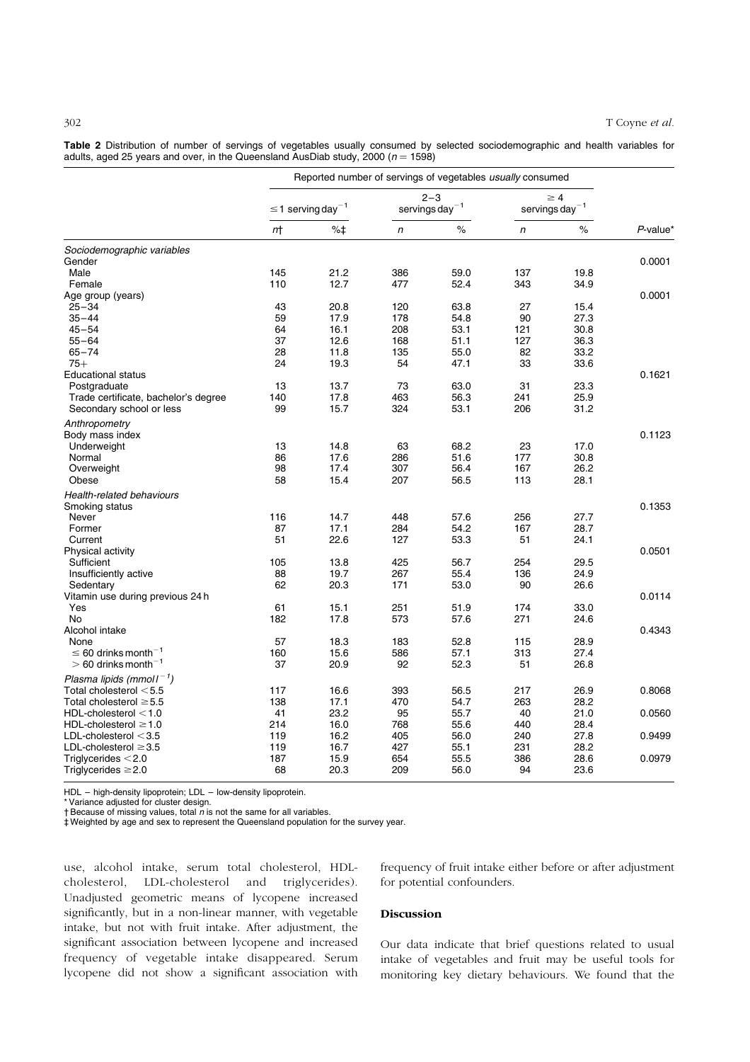## <span id="page-4-0"></span>302 T Coyne et al.

|                                      |     |                                    |              | Reported number of servings of vegetables usually consumed |              |                                  |                         |
|--------------------------------------|-----|------------------------------------|--------------|------------------------------------------------------------|--------------|----------------------------------|-------------------------|
|                                      |     | $\leq$ 1 serving day <sup>-1</sup> |              | $2 - 3$<br>servings day $^{-1}$                            |              | $\geq 4$<br>servings day $^{-1}$ |                         |
|                                      | nt  | $% \pm$                            | $\mathsf{n}$ | $\%$                                                       | $\mathsf{n}$ | $\%$                             | $P$ -value <sup>*</sup> |
| Sociodemographic variables           |     |                                    |              |                                                            |              |                                  |                         |
| Gender                               |     |                                    |              |                                                            |              |                                  | 0.0001                  |
| Male                                 | 145 | 21.2                               | 386          | 59.0                                                       | 137          | 19.8                             |                         |
| Female                               | 110 | 12.7                               | 477          | 52.4                                                       | 343          | 34.9                             |                         |
| Age group (years)                    |     |                                    |              |                                                            |              |                                  | 0.0001                  |
| $25 - 34$                            | 43  | 20.8                               | 120          | 63.8                                                       | 27           | 15.4                             |                         |
| $35 - 44$                            | 59  | 17.9                               | 178          | 54.8                                                       | 90           | 27.3                             |                         |
| $45 - 54$                            | 64  | 16.1                               | 208          | 53.1                                                       | 121          | 30.8                             |                         |
| $55 - 64$                            | 37  | 12.6                               | 168          | 51.1                                                       | 127          | 36.3                             |                         |
| $65 - 74$                            | 28  | 11.8                               | 135          | 55.0                                                       | 82           | 33.2                             |                         |
| $75+$                                | 24  | 19.3                               | 54           | 47.1                                                       | 33           | 33.6                             |                         |
| <b>Educational status</b>            |     |                                    |              |                                                            |              |                                  | 0.1621                  |
| Postgraduate                         | 13  | 13.7                               | 73           | 63.0                                                       | 31           | 23.3                             |                         |
| Trade certificate, bachelor's degree | 140 | 17.8                               | 463          | 56.3                                                       | 241          | 25.9                             |                         |
|                                      | 99  | 15.7                               | 324          | 53.1                                                       | 206          | 31.2                             |                         |
| Secondary school or less             |     |                                    |              |                                                            |              |                                  |                         |
| Anthropometry                        |     |                                    |              |                                                            |              |                                  |                         |
| Body mass index                      |     |                                    |              |                                                            |              |                                  | 0.1123                  |
| Underweight                          | 13  | 14.8                               | 63           | 68.2                                                       | 23           | 17.0                             |                         |
| Normal                               | 86  | 17.6                               | 286          | 51.6                                                       | 177          | 30.8                             |                         |
| Overweight                           | 98  | 17.4                               | 307          | 56.4                                                       | 167          | 26.2                             |                         |
| Obese                                | 58  | 15.4                               | 207          | 56.5                                                       | 113          | 28.1                             |                         |
| <b>Health-related behaviours</b>     |     |                                    |              |                                                            |              |                                  |                         |
|                                      |     |                                    |              |                                                            |              |                                  | 0.1353                  |
| Smoking status                       | 116 | 14.7                               | 448          |                                                            | 256          | 27.7                             |                         |
| Never                                |     |                                    |              | 57.6                                                       |              |                                  |                         |
| Former                               | 87  | 17.1                               | 284          | 54.2                                                       | 167          | 28.7                             |                         |
| Current                              | 51  | 22.6                               | 127          | 53.3                                                       | 51           | 24.1                             |                         |
| Physical activity                    |     |                                    |              |                                                            |              |                                  | 0.0501                  |
| Sufficient                           | 105 | 13.8                               | 425          | 56.7                                                       | 254          | 29.5                             |                         |
| Insufficiently active                | 88  | 19.7                               | 267          | 55.4                                                       | 136          | 24.9                             |                         |
| Sedentary                            | 62  | 20.3                               | 171          | 53.0                                                       | 90           | 26.6                             |                         |
| Vitamin use during previous 24 h     |     |                                    |              |                                                            |              |                                  | 0.0114                  |
| Yes                                  | 61  | 15.1                               | 251          | 51.9                                                       | 174          | 33.0                             |                         |
| No                                   | 182 | 17.8                               | 573          | 57.6                                                       | 271          | 24.6                             |                         |
| Alcohol intake                       |     |                                    |              |                                                            |              |                                  | 0.4343                  |
| None                                 | 57  | 18.3                               | 183          | 52.8                                                       | 115          | 28.9                             |                         |
| $\leq 60$ drinks month <sup>-1</sup> | 160 | 15.6                               | 586          | 57.1                                                       | 313          | 27.4                             |                         |
| $> 60$ drinks month <sup>-1</sup>    | 37  | 20.9                               | 92           | 52.3                                                       | 51           | 26.8                             |                         |
|                                      |     |                                    |              |                                                            |              |                                  |                         |
| Plasma lipids (mmol $1^{-1}$ )       |     |                                    |              |                                                            |              |                                  |                         |
| Total cholesterol $<$ 5.5            | 117 | 16.6                               | 393          | 56.5                                                       | 217          | 26.9                             | 0.8068                  |
| Total cholesterol $\geq 5.5$         | 138 | 17.1                               | 470          | 54.7                                                       | 263          | 28.2                             |                         |
| $HDL$ -cholesterol $< 1.0$           | 41  | 23.2                               | 95           | 55.7                                                       | 40           | 21.0                             | 0.0560                  |
| $HDL$ -cholesterol $\geq 1.0$        | 214 | 16.0                               | 768          | 55.6                                                       | 440          | 28.4                             |                         |
| $LDL$ -cholesterol $<$ 3.5           | 119 | 16.2                               | 405          | 56.0                                                       | 240          | 27.8                             | 0.9499                  |
| LDL-cholesterol $\geq$ 3.5           | 119 | 16.7                               | 427          | 55.1                                                       | 231          | 28.2                             |                         |
| Triglycerides $<$ 2.0                | 187 | 15.9                               | 654          | 55.5                                                       | 386          | 28.6                             | 0.0979                  |
| Triglycerides $\geq$ 2.0             | 68  | 20.3                               | 209          | 56.0                                                       | 94           | 23.6                             |                         |
|                                      |     |                                    |              |                                                            |              |                                  |                         |

Table 2 Distribution of number of servings of vegetables usually consumed by selected sociodemographic and health variables for adults, aged 25 years and over, in the Queensland AusDiab study, 2000 ( $n = 1598$ )

HDL – high-density lipoprotein; LDL – low-density lipoprotein.

\* Variance adjusted for cluster design.

 $\dagger$  Because of missing values, total  $n$  is not the same for all variables.

‡ Weighted by age and sex to represent the Queensland population for the survey year.

use, alcohol intake, serum total cholesterol, HDLcholesterol, LDL-cholesterol and triglycerides). Unadjusted geometric means of lycopene increased significantly, but in a non-linear manner, with vegetable intake, but not with fruit intake. After adjustment, the significant association between lycopene and increased frequency of vegetable intake disappeared. Serum lycopene did not show a significant association with

frequency of fruit intake either before or after adjustment for potential confounders.

#### Discussion

Our data indicate that brief questions related to usual intake of vegetables and fruit may be useful tools for monitoring key dietary behaviours. We found that the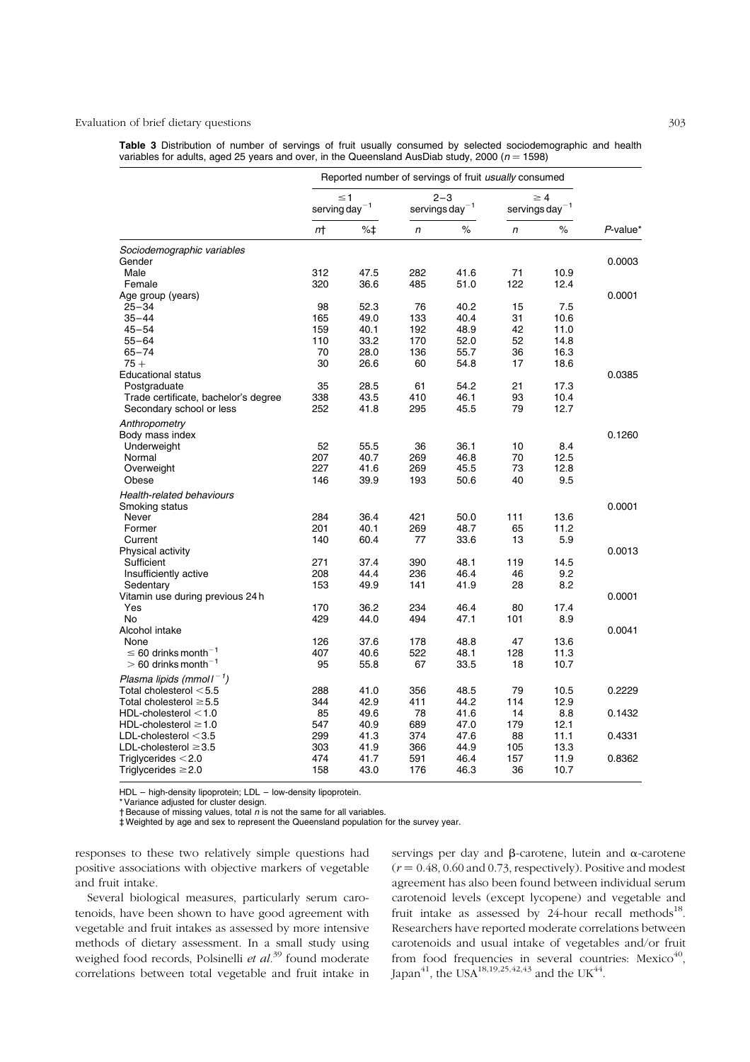<span id="page-5-0"></span>Table 3 Distribution of number of servings of fruit usually consumed by selected sociodemographic and health variables for adults, aged 25 years and over, in the Queensland AusDiab study, 2000 ( $n = 1598$ )

|                                      |                        |      |            | Reported number of servings of fruit usually consumed |     |                                  |             |
|--------------------------------------|------------------------|------|------------|-------------------------------------------------------|-----|----------------------------------|-------------|
|                                      | $s$ erving day $^{-1}$ | ≤1   |            | $2 - 3$<br>servings day $^{-1}$                       |     | $\geq 4$<br>servings day $^{-1}$ |             |
|                                      | nt                     | %‡   | $\sqrt{n}$ | $\%$                                                  | n   | $\%$                             | $P$ -value* |
| Sociodemographic variables           |                        |      |            |                                                       |     |                                  |             |
| Gender                               |                        |      |            |                                                       |     |                                  | 0.0003      |
| Male                                 | 312                    | 47.5 | 282        | 41.6                                                  | 71  | 10.9                             |             |
| Female                               | 320                    | 36.6 | 485        | 51.0                                                  | 122 | 12.4                             |             |
| Age group (years)                    |                        |      |            |                                                       |     |                                  | 0.0001      |
| $25 - 34$                            | 98                     | 52.3 | 76         | 40.2                                                  | 15  | 7.5                              |             |
| $35 - 44$                            | 165                    | 49.0 | 133        | 40.4                                                  | 31  | 10.6                             |             |
| $45 - 54$                            | 159                    | 40.1 | 192        | 48.9                                                  | 42  | 11.0                             |             |
| $55 - 64$                            | 110                    | 33.2 | 170        | 52.0                                                  | 52  | 14.8                             |             |
| $65 - 74$                            | 70                     | 28.0 | 136        | 55.7                                                  | 36  | 16.3                             |             |
| $75+$                                | 30                     | 26.6 | 60         | 54.8                                                  | 17  | 18.6                             |             |
| <b>Educational status</b>            |                        |      |            |                                                       |     |                                  | 0.0385      |
| Postgraduate                         | 35                     | 28.5 | 61         | 54.2                                                  | 21  | 17.3                             |             |
| Trade certificate, bachelor's degree | 338                    | 43.5 | 410        | 46.1                                                  | 93  | 10.4                             |             |
| Secondary school or less             | 252                    | 41.8 | 295        | 45.5                                                  | 79  | 12.7                             |             |
|                                      |                        |      |            |                                                       |     |                                  |             |
| Anthropometry                        |                        |      |            |                                                       |     |                                  |             |
| Body mass index                      |                        |      |            |                                                       |     |                                  | 0.1260      |
| Underweight                          | 52                     | 55.5 | 36         | 36.1                                                  | 10  | 8.4                              |             |
| Normal                               | 207                    | 40.7 | 269        | 46.8                                                  | 70  | 12.5                             |             |
| Overweight                           | 227                    | 41.6 | 269        | 45.5                                                  | 73  | 12.8                             |             |
| Obese                                | 146                    | 39.9 | 193        | 50.6                                                  | 40  | 9.5                              |             |
| Health-related behaviours            |                        |      |            |                                                       |     |                                  |             |
| Smoking status                       |                        |      |            |                                                       |     |                                  | 0.0001      |
| Never                                | 284                    | 36.4 | 421        | 50.0                                                  | 111 | 13.6                             |             |
| Former                               | 201                    | 40.1 | 269        | 48.7                                                  | 65  | 11.2                             |             |
| Current                              | 140                    | 60.4 | 77         | 33.6                                                  | 13  | 5.9                              |             |
| Physical activity                    |                        |      |            |                                                       |     |                                  | 0.0013      |
| Sufficient                           | 271                    | 37.4 | 390        | 48.1                                                  | 119 | 14.5                             |             |
| Insufficiently active                | 208                    | 44.4 | 236        | 46.4                                                  | 46  | 9.2                              |             |
| Sedentary                            | 153                    | 49.9 | 141        | 41.9                                                  | 28  | 8.2                              |             |
| Vitamin use during previous 24 h     |                        |      |            |                                                       |     |                                  | 0.0001      |
| Yes                                  | 170                    | 36.2 | 234        | 46.4                                                  | 80  | 17.4                             |             |
| <b>No</b>                            |                        |      |            |                                                       |     |                                  |             |
|                                      | 429                    | 44.0 | 494        | 47.1                                                  | 101 | 8.9                              |             |
| Alcohol intake                       |                        |      |            |                                                       |     |                                  | 0.0041      |
| None                                 | 126                    | 37.6 | 178        | 48.8                                                  | 47  | 13.6                             |             |
| $\leq 60$ drinks month <sup>-1</sup> | 407                    | 40.6 | 522        | 48.1                                                  | 128 | 11.3                             |             |
| $> 60$ drinks month $^{-1}$          | 95                     | 55.8 | 67         | 33.5                                                  | 18  | 10.7                             |             |
| Plasma lipids (mmol $1^{-1}$ )       |                        |      |            |                                                       |     |                                  |             |
| Total cholesterol $< 5.5$            | 288                    | 41.0 | 356        | 48.5                                                  | 79  | 10.5                             | 0.2229      |
| Total cholesterol $\geq 5.5$         | 344                    | 42.9 | 411        | 44.2                                                  | 114 | 12.9                             |             |
| $HDL$ -cholesterol $< 1.0$           | 85                     | 49.6 | 78         | 41.6                                                  | 14  | 8.8                              | 0.1432      |
| HDL-cholesterol $\geq 1.0$           | 547                    | 40.9 | 689        | 47.0                                                  | 179 | 12.1                             |             |
| LDL-cholesterol $<$ 3.5              | 299                    | 41.3 | 374        | 47.6                                                  | 88  | 11.1                             | 0.4331      |
| LDL-cholesterol $\geq$ 3.5           | 303                    | 41.9 | 366        | 44.9                                                  | 105 | 13.3                             |             |
| Triglycerides $<$ 2.0                | 474                    | 41.7 | 591        | 46.4                                                  | 157 | 11.9                             | 0.8362      |
| Triglycerides $\geq$ 2.0             | 158                    | 43.0 | 176        | 46.3                                                  | 36  | 10.7                             |             |
|                                      |                        |      |            |                                                       |     |                                  |             |

HDL – high-density lipoprotein; LDL – low-density lipoprotein.

\* Variance adjusted for cluster design.

† Because of missing values, total  $n$  is not the same for all variables.

‡ Weighted by age and sex to represent the Queensland population for the survey year.

responses to these two relatively simple questions had positive associations with objective markers of vegetable and fruit intake.

Several biological measures, particularly serum carotenoids, have been shown to have good agreement with vegetable and fruit intakes as assessed by more intensive methods of dietary assessment. In a small study using weighed food records, Polsinelli et al.<sup>39</sup> found moderate correlations between total vegetable and fruit intake in

servings per day and  $\beta$ -carotene, lutein and  $\alpha$ -carotene  $(r = 0.48, 0.60 \text{ and } 0.73,$  respectively). Positive and modest agreement has also been found between individual serum carotenoid levels (except lycopene) and vegetable and fruit intake as assessed by 24-hour recall methods $^{18}$ . Researchers have reported moderate correlations between carotenoids and usual intake of vegetables and/or fruit from food frequencies in several countries:  $Mexico<sup>40</sup>$ , Japan<sup>41</sup>, the USA<sup>18,19,25,42,43</sup> and the UK<sup>44</sup>.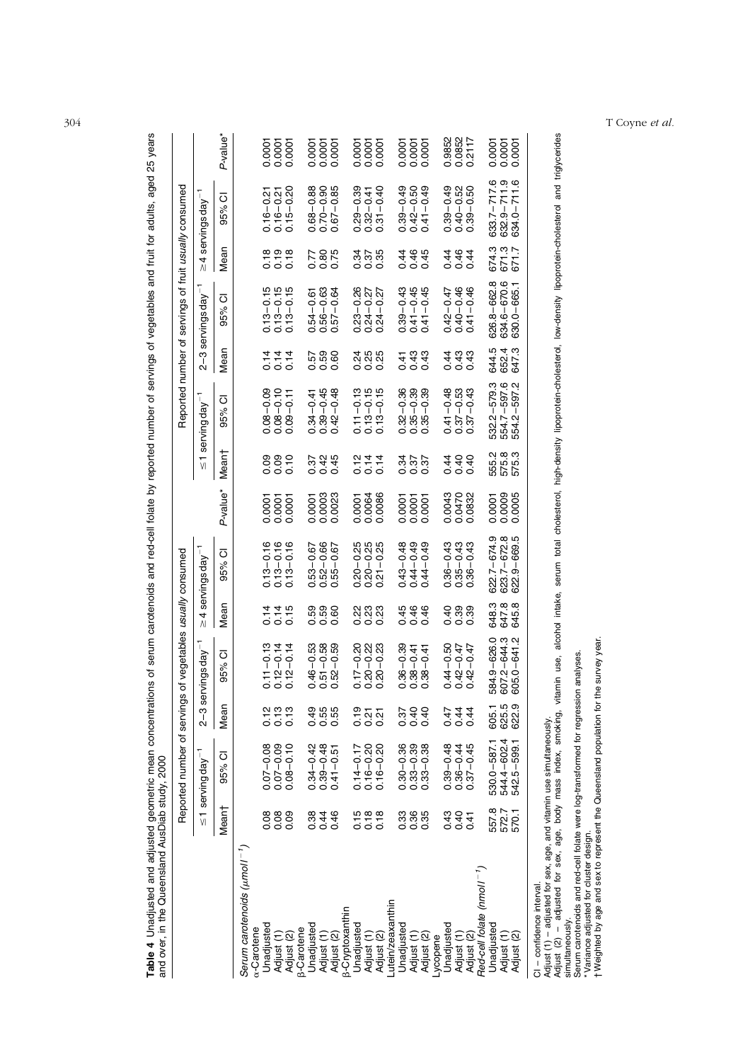<span id="page-6-0"></span>

|                                                        |                                         |                                 | vegetables<br>Reported number of servings of                                           |                         | usually consumed                                                         |                                  |                         | Reported                                                                 |                                           | number of servings of fruit usually consumed    |                                              |                                                                          |                            |
|--------------------------------------------------------|-----------------------------------------|---------------------------------|----------------------------------------------------------------------------------------|-------------------------|--------------------------------------------------------------------------|----------------------------------|-------------------------|--------------------------------------------------------------------------|-------------------------------------------|-------------------------------------------------|----------------------------------------------|--------------------------------------------------------------------------|----------------------------|
|                                                        | $\leq$ 1 serving day <sup>-1</sup>      | 2-3 servir                      | ngs day $^{-1}$                                                                        |                         | $\geq$ 4 servings day <sup>-1</sup>                                      |                                  | $\overline{v}$          | serving day <sup>-1</sup>                                                |                                           | $2-3$ servings day <sup><math>-1</math></sup>   |                                              | $\geq$ 4 servings day <sup>-1</sup>                                      |                            |
| Mean†                                                  | $\bar{\circ}$<br>95%                    | Mean                            | ō<br>95%                                                                               | Mean                    | ō<br>95%                                                                 | P-value*                         | Mean†                   | $\overline{\circ}$<br>95%                                                | Mean                                      | ō<br>95%                                        | Mean                                         | ō<br>95%                                                                 | P-value*                   |
| Serum carotenoids (µmol1 <sup>-1</sup> )<br>a-Carotene |                                         |                                 |                                                                                        |                         |                                                                          |                                  |                         |                                                                          |                                           |                                                 |                                              |                                                                          |                            |
| 0.08<br>Unadjusted                                     | $0.07 - 0.08$                           |                                 |                                                                                        |                         |                                                                          | 0.0001                           |                         |                                                                          |                                           |                                                 |                                              |                                                                          |                            |
| 0.08<br>0.09<br>Adjust (1)<br>Adjust (2)               | $0.07 - 0.09$<br>$0.08 - 0.10$          | $272$<br>$0.73$<br>$0.73$       | $11 - 0.13$<br>$12 - 0.14$<br>$12 - 0.14$<br>000                                       | $0.14$<br>$0.06$        | $\begin{array}{c} 0.13 - 0.16 \\ 0.13 - 0.16 \\ 0.13 - 0.16 \end{array}$ | 0.0001                           | 882<br>000              | $\begin{array}{c} 0.08 - 0.09 \\ 0.08 - 0.10 \\ 0.09 - 0.11 \end{array}$ | 0000                                      | $0.13 - 0.15$<br>$0.13 - 0.15$<br>$0.13 - 0.15$ | $\begin{array}{c} 0.98 \\ 0.018 \end{array}$ | $0.16 - 0.21$<br>$0.16 - 0.21$<br>$0.15 - 0.20$                          | $0.0001$<br>$0.0001$       |
| <b>B-Carotene</b>                                      |                                         |                                 |                                                                                        |                         |                                                                          |                                  |                         |                                                                          |                                           |                                                 |                                              |                                                                          |                            |
| 0.38<br>Unadjusted                                     | $0.34 - 0.42$<br>$0.39 - 0.48$          |                                 |                                                                                        |                         |                                                                          |                                  |                         |                                                                          |                                           |                                                 |                                              |                                                                          |                            |
| 0.44<br>0.46<br>Adjust (1)<br>Adjust (2)               | $0.41 - 0.51$                           | 0<br>0<br>0<br>0<br>0<br>0<br>0 | $-46 - 0.53$<br>$51 - 0.58$<br>$52 - 0.59$<br>$\ddot{\circ} \ddot{\circ} \ddot{\circ}$ | 0.50<br>0.00<br>0.00    | $53 - 0.67$<br>$52 - 0.66$<br>$55 - 0.67$<br>೦೦೦                         | $0.0001$<br>$0.0003$<br>$0.0023$ | 5345<br>000             | $0.34 - 0.41$<br>$0.39 - 0.45$<br>$0.42 - 0.48$                          | 0.57<br>0.50<br>0.0                       | $0.54 - 0.61$<br>0.56 - 0.63<br>0.57 - 0.64     | 82.9<br>080<br>0.9                           | $\begin{array}{c} 0.68 - 0.88 \\ 0.70 - 0.90 \\ 0.67 - 0.85 \end{array}$ | $0.0001$<br>$0.0001$       |
| <b>B-Cryptoxanthin</b>                                 |                                         |                                 |                                                                                        |                         |                                                                          |                                  |                         |                                                                          |                                           |                                                 |                                              |                                                                          |                            |
| $0.15$<br>$0.18$<br>Unadjusted                         | $0.14 - 0.17$                           | $0.19$<br>$0.21$                |                                                                                        |                         |                                                                          |                                  |                         |                                                                          |                                           |                                                 |                                              |                                                                          |                            |
| 0.18<br>Adjust (1)<br>Adjust (2)                       | $0.16 - 0.20$<br>$0.16 - 0.20$          | 0.21                            | $\begin{array}{c} 0.17 - 0.20 \\ 0.20 - 0.22 \\ 0.20 - 0.23 \end{array}$               | ន្ត្រី<br>និងនឹង        | $\begin{array}{c} 0.20 - 0.25 \\ 0.20 - 0.25 \\ 0.21 - 0.25 \end{array}$ | 0.0001<br>0.0064<br>0.0086       | $214$<br>$000$          | $0.11 - 0.13$<br>$0.13 - 0.15$<br>$0.13 - 0.15$                          | $\frac{3}{4}$ $\frac{8}{8}$ $\frac{8}{8}$ | $0.23 - 0.26$<br>0.24 - 0.27<br>0.24 - 0.27     | 0.0.0<br>20.90                               | $0.29 - 0.39$<br>$0.32 - 0.41$<br>$0.31 - 0.40$                          | $0.0001$<br>$0.0001$       |
| Lutein/zeaxanthin                                      |                                         |                                 |                                                                                        |                         |                                                                          |                                  |                         |                                                                          |                                           |                                                 |                                              |                                                                          |                            |
| 0.33<br>Unadjusted<br>Adjust (1)                       | $0.33 - 0.39$<br>$0.30 - 0.36$          | 0.37                            | $-0.39$<br>000                                                                         |                         | $0.43 - 0.48$                                                            |                                  |                         |                                                                          |                                           |                                                 | 0.44                                         |                                                                          |                            |
| 0.35<br>Adjust (2)                                     | $0.33 - 0.38$                           | 0.40<br>0.40                    | $36 - 0.39$<br>$38 - 0.41$<br>$41$<br>$38 - 0.41$                                      | $4940$<br>0000          | $0.44 - 0.49$<br>0.44 - 0.49                                             | $0.0001$<br>$0.0001$             | 8<br>282<br>282         | $0.32 - 0.36$<br>$0.35 - 0.39$<br>$0.35 - 0.39$                          | 0.00<br>0.00<br>0.00                      | $0.39 - 0.43$<br>$0.41 - 0.45$<br>$0.41 - 0.45$ | 0.46<br>0.45                                 | $0.39 - 0.49$<br>$0.42 - 0.50$<br>$0.41 - 0.49$                          | $0.0001$<br>$0.0001$       |
| Lycopene                                               |                                         |                                 |                                                                                        |                         |                                                                          |                                  |                         |                                                                          |                                           |                                                 |                                              |                                                                          |                            |
| 0.40<br>0.43<br>Unadjusted<br>Adjust (1)               | $0.39 - 0.48$                           | 0.44<br>0.47                    | $44 - 0.50$                                                                            | 0.40                    |                                                                          |                                  | 0.44                    |                                                                          |                                           | $-0.47$<br>0.42                                 | 0.44                                         |                                                                          |                            |
| 0.41<br>Adjust (2)                                     | $0.36 - 0.44$<br>0.37 - 0.45<br>$-0.45$ | 0.44                            | $-42 - 0.47$<br>$-42 - 0.47$<br>000                                                    | 0.39<br>0.39            | $0.36 - 0.43$<br>$0.35 - 0.43$<br>$0.36 - 0.43$                          | 0.0043<br>0.0470<br>0.0832       | 0.40<br>0.40            | $0.41 - 0.48$<br>$0.37 - 0.53$<br>$0.37 - 0.43$                          | 000<br>4343                               | $0.40 - 0.46$<br>0.41-0.46                      | $0.46$<br>0.44                               | $0.39 - 0.49$<br>$0.40 - 0.52$<br>$0.39 - 0.50$                          | 0.9852<br>0.0852<br>0.2117 |
| Red-cell folate (nmol $1^{-1}$ )                       |                                         |                                 |                                                                                        |                         |                                                                          |                                  |                         |                                                                          |                                           |                                                 |                                              |                                                                          |                            |
| 557.8<br>Unadjusted                                    | 530.0-587.1                             | 605.1                           |                                                                                        |                         |                                                                          |                                  |                         |                                                                          |                                           |                                                 |                                              |                                                                          |                            |
| 572.7<br>570.1<br>Adjust (1)<br>Adjust (2)             | 544.4-602.4<br>542.5-599.1              | 625.5<br>622.9                  | 584.9-626.0<br>607.2-644.3<br>605.0-641.2                                              | 648.3<br>645.8<br>645.8 | 622.7-674.9<br>623.7-672.8<br>622.9-669.5                                | 0.0005<br>0.0005<br>0.0005       | 555.2<br>575.3<br>575.3 | 532.2-579.3<br>554.7-597.6<br>554.2-597.2                                | 644.3<br>652.4<br>647.3                   | 626.8-662.8<br>634.6-670.6<br>630.0-665.1       | 674.3<br>671.3<br>671.7                      | 633.7-717.6<br>632.9-711.9<br>634.0-711.6                                | 0.000<br>0.000<br>0.000    |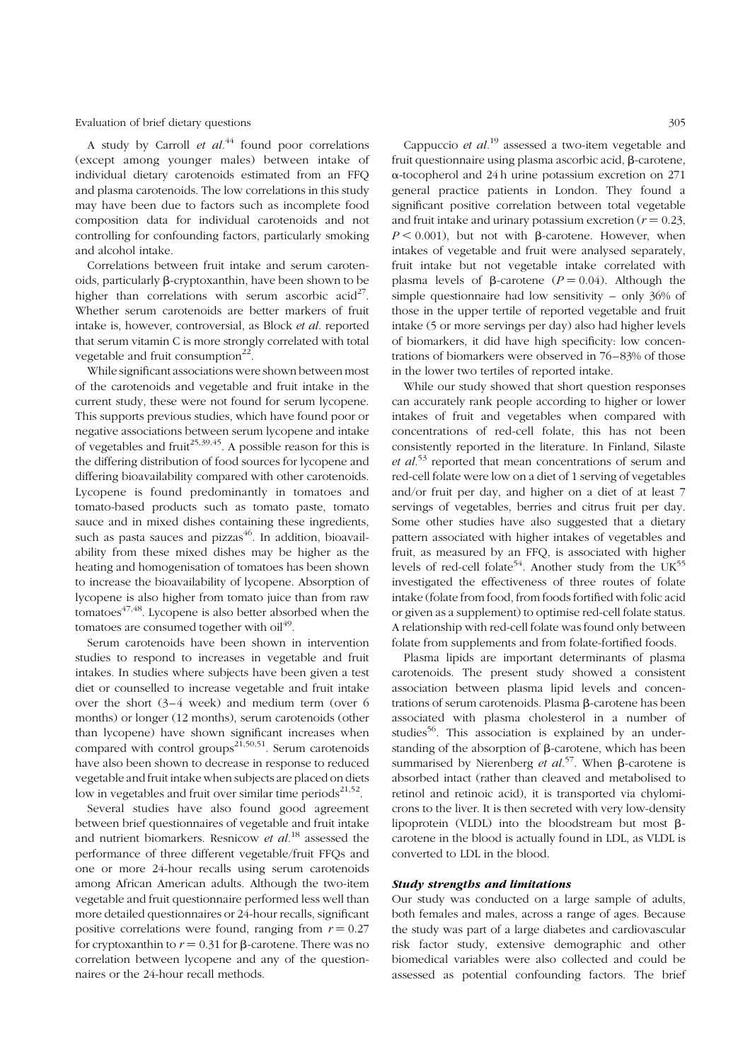A study by Carroll et  $al^{44}$  found poor correlations (except among younger males) between intake of individual dietary carotenoids estimated from an FFQ and plasma carotenoids. The low correlations in this study may have been due to factors such as incomplete food composition data for individual carotenoids and not controlling for confounding factors, particularly smoking and alcohol intake.

Correlations between fruit intake and serum carotenoids, particularly  $\beta$ -cryptoxanthin, have been shown to be higher than correlations with serum ascorbic  $\arctan 27$ . Whether serum carotenoids are better markers of fruit intake is, however, controversial, as Block et al. reported that serum vitamin C is more strongly correlated with total vegetable and fruit consumption $^{22}$ .

While significant associations were shown between most of the carotenoids and vegetable and fruit intake in the current study, these were not found for serum lycopene. This supports previous studies, which have found poor or negative associations between serum lycopene and intake of vegetables and fruit<sup>25,39,45</sup>. A possible reason for this is the differing distribution of food sources for lycopene and differing bioavailability compared with other carotenoids. Lycopene is found predominantly in tomatoes and tomato-based products such as tomato paste, tomato sauce and in mixed dishes containing these ingredients, such as pasta sauces and pizzas<sup>46</sup>. In addition, bioavailability from these mixed dishes may be higher as the heating and homogenisation of tomatoes has been shown to increase the bioavailability of lycopene. Absorption of lycopene is also higher from tomato juice than from raw tomatoes $47,48$ . Lycopene is also better absorbed when the tomatoes are consumed together with oil<sup>49</sup>.

Serum carotenoids have been shown in intervention studies to respond to increases in vegetable and fruit intakes. In studies where subjects have been given a test diet or counselled to increase vegetable and fruit intake over the short (3–4 week) and medium term (over 6 months) or longer (12 months), serum carotenoids (other than lycopene) have shown significant increases when compared with control groups $2^{1,50,51}$ . Serum carotenoids have also been shown to decrease in response to reduced vegetable and fruit intake when subjects are placed on diets low in vegetables and fruit over similar time periods $2^{1,52}$ .

Several studies have also found good agreement between brief questionnaires of vegetable and fruit intake and nutrient biomarkers. Resnicow et  $al$ <sup>18</sup> assessed the performance of three different vegetable/fruit FFQs and one or more 24-hour recalls using serum carotenoids among African American adults. Although the two-item vegetable and fruit questionnaire performed less well than more detailed questionnaires or 24-hour recalls, significant positive correlations were found, ranging from  $r = 0.27$ for cryptoxanthin to  $r = 0.31$  for  $\beta$ -carotene. There was no correlation between lycopene and any of the questionnaires or the 24-hour recall methods.

Cappuccio et  $al$ <sup>19</sup> assessed a two-item vegetable and fruit questionnaire using plasma ascorbic acid,  $\beta$ -carotene, a-tocopherol and 24 h urine potassium excretion on 271 general practice patients in London. They found a significant positive correlation between total vegetable and fruit intake and urinary potassium excretion ( $r = 0.23$ ,  $P \le 0.001$ ), but not with  $\beta$ -carotene. However, when intakes of vegetable and fruit were analysed separately, fruit intake but not vegetable intake correlated with plasma levels of  $\beta$ -carotene ( $P = 0.04$ ). Although the simple questionnaire had low sensitivity – only 36% of those in the upper tertile of reported vegetable and fruit intake (5 or more servings per day) also had higher levels of biomarkers, it did have high specificity: low concentrations of biomarkers were observed in 76–83% of those in the lower two tertiles of reported intake.

While our study showed that short question responses can accurately rank people according to higher or lower intakes of fruit and vegetables when compared with concentrations of red-cell folate, this has not been consistently reported in the literature. In Finland, Silaste et  $al^{53}$  reported that mean concentrations of serum and red-cell folate were low on a diet of 1 serving of vegetables and/or fruit per day, and higher on a diet of at least 7 servings of vegetables, berries and citrus fruit per day. Some other studies have also suggested that a dietary pattern associated with higher intakes of vegetables and fruit, as measured by an FFQ, is associated with higher levels of red-cell folate<sup>54</sup>. Another study from the  $UK<sup>55</sup>$ investigated the effectiveness of three routes of folate intake (folate from food, from foods fortified with folic acid or given as a supplement) to optimise red-cell folate status. A relationship with red-cell folate was found only between folate from supplements and from folate-fortified foods.

Plasma lipids are important determinants of plasma carotenoids. The present study showed a consistent association between plasma lipid levels and concentrations of serum carotenoids. Plasma  $\beta$ -carotene has been associated with plasma cholesterol in a number of studies<sup>56</sup>. This association is explained by an understanding of the absorption of  $\beta$ -carotene, which has been summarised by Nierenberg et  $al^{57}$ . When  $\beta$ -carotene is absorbed intact (rather than cleaved and metabolised to retinol and retinoic acid), it is transported via chylomicrons to the liver. It is then secreted with very low-density lipoprotein (VLDL) into the bloodstream but most  $\beta$ carotene in the blood is actually found in LDL, as VLDL is converted to LDL in the blood.

#### Study strengths and limitations

Our study was conducted on a large sample of adults, both females and males, across a range of ages. Because the study was part of a large diabetes and cardiovascular risk factor study, extensive demographic and other biomedical variables were also collected and could be assessed as potential confounding factors. The brief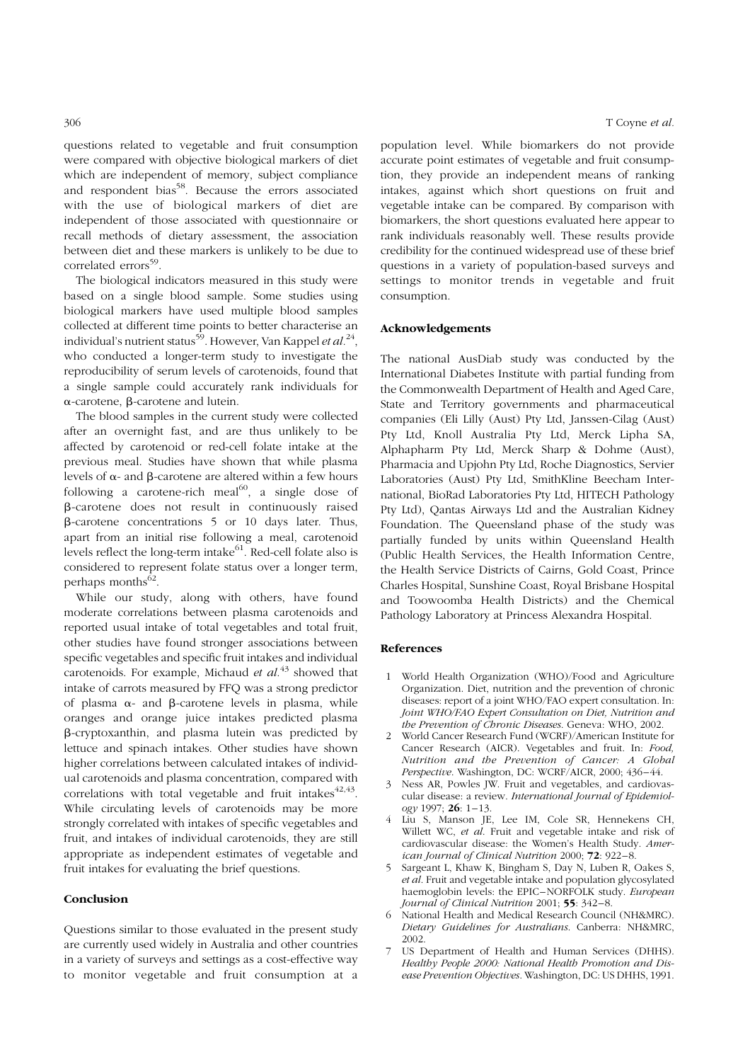questions related to vegetable and fruit consumption were compared with objective biological markers of diet which are independent of memory, subject compliance and respondent bias<sup>58</sup>. Because the errors associated with the use of biological markers of diet are independent of those associated with questionnaire or recall methods of dietary assessment, the association between diet and these markers is unlikely to be due to correlated errors<sup>59</sup>.

The biological indicators measured in this study were based on a single blood sample. Some studies using biological markers have used multiple blood samples collected at different time points to better characterise an individual's nutrient status<sup>59</sup>. However, Van Kappel et  $al.^{24}$ , who conducted a longer-term study to investigate the reproducibility of serum levels of carotenoids, found that a single sample could accurately rank individuals for  $\alpha$ -carotene,  $\beta$ -carotene and lutein.

The blood samples in the current study were collected after an overnight fast, and are thus unlikely to be affected by carotenoid or red-cell folate intake at the previous meal. Studies have shown that while plasma levels of  $\alpha$ - and  $\beta$ -carotene are altered within a few hours following a carotene-rich meal $^{60}$ , a single dose of b-carotene does not result in continuously raised  $\beta$ -carotene concentrations 5 or 10 days later. Thus, apart from an initial rise following a meal, carotenoid levels reflect the long-term intake $^{61}$ . Red-cell folate also is considered to represent folate status over a longer term, perhaps months $62$ .

While our study, along with others, have found moderate correlations between plasma carotenoids and reported usual intake of total vegetables and total fruit, other studies have found stronger associations between specific vegetables and specific fruit intakes and individual carotenoids. For example, Michaud et  $al^{43}$  showed that intake of carrots measured by FFQ was a strong predictor of plasma  $\alpha$ - and  $\beta$ -carotene levels in plasma, while oranges and orange juice intakes predicted plasma b-cryptoxanthin, and plasma lutein was predicted by lettuce and spinach intakes. Other studies have shown higher correlations between calculated intakes of individual carotenoids and plasma concentration, compared with correlations with total vegetable and fruit intakes $42,43$ . While circulating levels of carotenoids may be more strongly correlated with intakes of specific vegetables and fruit, and intakes of individual carotenoids, they are still appropriate as independent estimates of vegetable and fruit intakes for evaluating the brief questions.

#### Conclusion

Questions similar to those evaluated in the present study are currently used widely in Australia and other countries in a variety of surveys and settings as a cost-effective way to monitor vegetable and fruit consumption at a population level. While biomarkers do not provide accurate point estimates of vegetable and fruit consumption, they provide an independent means of ranking intakes, against which short questions on fruit and vegetable intake can be compared. By comparison with biomarkers, the short questions evaluated here appear to rank individuals reasonably well. These results provide credibility for the continued widespread use of these brief questions in a variety of population-based surveys and settings to monitor trends in vegetable and fruit consumption.

# Acknowledgements

The national AusDiab study was conducted by the International Diabetes Institute with partial funding from the Commonwealth Department of Health and Aged Care, State and Territory governments and pharmaceutical companies (Eli Lilly (Aust) Pty Ltd, Janssen-Cilag (Aust) Pty Ltd, Knoll Australia Pty Ltd, Merck Lipha SA, Alphapharm Pty Ltd, Merck Sharp & Dohme (Aust), Pharmacia and Upjohn Pty Ltd, Roche Diagnostics, Servier Laboratories (Aust) Pty Ltd, SmithKline Beecham International, BioRad Laboratories Pty Ltd, HITECH Pathology Pty Ltd), Qantas Airways Ltd and the Australian Kidney Foundation. The Queensland phase of the study was partially funded by units within Queensland Health (Public Health Services, the Health Information Centre, the Health Service Districts of Cairns, Gold Coast, Prince Charles Hospital, Sunshine Coast, Royal Brisbane Hospital and Toowoomba Health Districts) and the Chemical Pathology Laboratory at Princess Alexandra Hospital.

#### References

- World Health Organization (WHO)/Food and Agriculture Organization. Diet, nutrition and the prevention of chronic diseases: report of a joint WHO/FAO expert consultation. In: Joint WHO/FAO Expert Consultation on Diet, Nutrition and the Prevention of Chronic Diseases. Geneva: WHO, 2002.
- 2 World Cancer Research Fund (WCRF)/American Institute for Cancer Research (AICR). Vegetables and fruit. In: Food, Nutrition and the Prevention of Cancer: A Global Perspective. Washington, DC: WCRF/AICR, 2000; 436–44.
- 3 Ness AR, Powles JW. Fruit and vegetables, and cardiovascular disease: a review. International Journal of Epidemiology 1997; 26: 1–13.
- 4 Liu S, Manson JE, Lee IM, Cole SR, Hennekens CH, Willett WC, et al. Fruit and vegetable intake and risk of cardiovascular disease: the Women's Health Study. American Journal of Clinical Nutrition 2000; 72: 922–8.
- 5 Sargeant L, Khaw K, Bingham S, Day N, Luben R, Oakes S, et al. Fruit and vegetable intake and population glycosylated haemoglobin levels: the EPIC–NORFOLK study. European Journal of Clinical Nutrition 2001; 55: 342–8.
- 6 National Health and Medical Research Council (NH&MRC). Dietary Guidelines for Australians. Canberra: NH&MRC, 2002.
- 7 US Department of Health and Human Services (DHHS). Healthy People 2000: National Health Promotion and Disease Prevention Objectives. Washington, DC: US DHHS, 1991.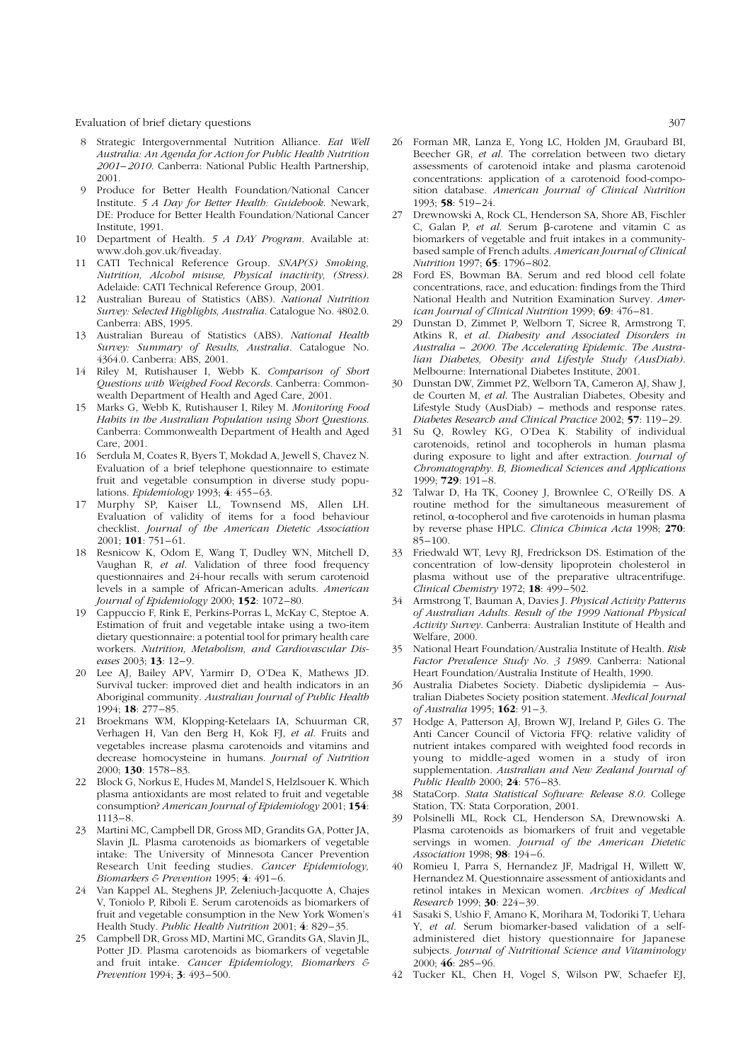- 8 Strategic Intergovernmental Nutrition Alliance. Eat Well Australia: An Agenda for Action for Public Health Nutrition 2001–2010. Canberra: National Public Health Partnership, 2001.
- 9 Produce for Better Health Foundation/National Cancer Institute. 5 A Day for Better Health: Guidebook. Newark, DE: Produce for Better Health Foundation/National Cancer Institute, 1991.
- 10 Department of Health. 5 A DAY Program. Available at: www.doh.gov.uk/fiveaday.
- 11 CATI Technical Reference Group. SNAP(S) Smoking, Nutrition, Alcohol misuse, Physical inactivity, (Stress). Adelaide: CATI Technical Reference Group, 2001.
- 12 Australian Bureau of Statistics (ABS). National Nutrition Survey: Selected Highlights, Australia. Catalogue No. 4802.0. Canberra: ABS, 1995.
- 13 Australian Bureau of Statistics (ABS). National Health Survey: Summary of Results, Australia. Catalogue No. 4364.0. Canberra: ABS, 2001.
- 14 Riley M, Rutishauser I, Webb K. Comparison of Short Questions with Weighed Food Records. Canberra: Commonwealth Department of Health and Aged Care, 2001.
- 15 Marks G, Webb K, Rutishauser I, Riley M. Monitoring Food Habits in the Australian Population using Short Questions. Canberra: Commonwealth Department of Health and Aged Care, 2001.
- 16 Serdula M, Coates R, Byers T, Mokdad A, Jewell S, Chavez N. Evaluation of a brief telephone questionnaire to estimate fruit and vegetable consumption in diverse study populations. Epidemiology 1993; 4: 455–63.
- 17 Murphy SP, Kaiser LL, Townsend MS, Allen LH. Evaluation of validity of items for a food behaviour checklist. Journal of the American Dietetic Association 2001; 101: 751–61.
- 18 Resnicow K, Odom E, Wang T, Dudley WN, Mitchell D, Vaughan R, et al. Validation of three food frequency questionnaires and 24-hour recalls with serum carotenoid levels in a sample of African-American adults. American Journal of Epidemiology 2000; 152: 1072-80.
- 19 Cappuccio F, Rink E, Perkins-Porras L, McKay C, Steptoe A. Estimation of fruit and vegetable intake using a two-item dietary questionnaire: a potential tool for primary health care workers. Nutrition, Metabolism, and Cardiovascular Diseases 2003; **13**: 12-9.
- 20 Lee AJ, Bailey APV, Yarmirr D, O'Dea K, Mathews JD. Survival tucker: improved diet and health indicators in an Aboriginal community. Australian Journal of Public Health 1994; 18: 277–85.
- 21 Broekmans WM, Klopping-Ketelaars IA, Schuurman CR, Verhagen H, Van den Berg H, Kok FJ, et al. Fruits and vegetables increase plasma carotenoids and vitamins and decrease homocysteine in humans. Journal of Nutrition 2000; 130: 1578–83.
- 22 Block G, Norkus E, Hudes M, Mandel S, Helzlsouer K. Which plasma antioxidants are most related to fruit and vegetable consumption? American Journal of Epidemiology 2001; 154: 1113–8.
- 23 Martini MC, Campbell DR, Gross MD, Grandits GA, Potter JA, Slavin JL. Plasma carotenoids as biomarkers of vegetable intake: The University of Minnesota Cancer Prevention Research Unit feeding studies. Cancer Epidemiology, Biomarkers & Prevention 1995; 4: 491–6.
- 24 Van Kappel AL, Steghens JP, Zeleniuch-Jacquotte A, Chajes V, Toniolo P, Riboli E. Serum carotenoids as biomarkers of fruit and vegetable consumption in the New York Women's Health Study. Public Health Nutrition 2001; 4: 829–35.
- 25 Campbell DR, Gross MD, Martini MC, Grandits GA, Slavin JL, Potter JD. Plasma carotenoids as biomarkers of vegetable and fruit intake. Cancer Epidemiology, Biomarkers & Prevention 1994; 3: 493–500.
- 26 Forman MR, Lanza E, Yong LC, Holden JM, Graubard BI, Beecher GR, et al. The correlation between two dietary assessments of carotenoid intake and plasma carotenoid concentrations: application of a carotenoid food-composition database. American Journal of Clinical Nutrition 1993; 58: 519–24.
- 27 Drewnowski A, Rock CL, Henderson SA, Shore AB, Fischler C, Galan P, et al. Serum  $\beta$ -carotene and vitamin C as biomarkers of vegetable and fruit intakes in a communitybased sample of French adults. American Journal of Clinical Nutrition 1997; 65: 1796–802.
- 28 Ford ES, Bowman BA. Serum and red blood cell folate concentrations, race, and education: findings from the Third National Health and Nutrition Examination Survey. American Journal of Clinical Nutrition 1999; 69: 476–81.
- 29 Dunstan D, Zimmet P, Welborn T, Sicree R, Armstrong T, Atkins R, et al. Diabesity and Associated Disorders in Australia – 2000. The Accelerating Epidemic. The Australian Diabetes, Obesity and Lifestyle Study (AusDiab). Melbourne: International Diabetes Institute, 2001.
- 30 Dunstan DW, Zimmet PZ, Welborn TA, Cameron AJ, Shaw J, de Courten M, et al. The Australian Diabetes, Obesity and Lifestyle Study (AusDiab) – methods and response rates. Diabetes Research and Clinical Practice 2002; 57: 119–29.
- 31 Su Q, Rowley KG, O'Dea K. Stability of individual carotenoids, retinol and tocopherols in human plasma during exposure to light and after extraction. Journal of Chromatography. B, Biomedical Sciences and Applications 1999; 729: 191–8.
- 32 Talwar D, Ha TK, Cooney J, Brownlee C, O'Reilly DS. A routine method for the simultaneous measurement of retinol, a-tocopherol and five carotenoids in human plasma by reverse phase HPLC. Clinica Chimica Acta 1998; 270: 85–100.
- 33 Friedwald WT, Levy RJ, Fredrickson DS. Estimation of the concentration of low-density lipoprotein cholesterol in plasma without use of the preparative ultracentrifuge. Clinical Chemistry 1972; 18: 499–502.
- 34 Armstrong T, Bauman A, Davies J. Physical Activity Patterns of Australian Adults. Result of the 1999 National Physical Activity Survey. Canberra: Australian Institute of Health and Welfare, 2000.
- 35 National Heart Foundation/Australia Institute of Health. Risk Factor Prevalence Study No. 3 1989. Canberra: National Heart Foundation/Australia Institute of Health, 1990.
- 36 Australia Diabetes Society. Diabetic dyslipidemia Australian Diabetes Society position statement. Medical Journal of Australia 1995; 162: 91–3.
- 37 Hodge A, Patterson AJ, Brown WJ, Ireland P, Giles G. The Anti Cancer Council of Victoria FFQ: relative validity of nutrient intakes compared with weighted food records in young to middle-aged women in a study of iron supplementation. Australian and New Zealand Journal of Public Health 2000; 24: 576–83.
- 38 StataCorp. Stata Statistical Software: Release 8.0. College Station, TX: Stata Corporation, 2001.
- 39 Polsinelli ML, Rock CL, Henderson SA, Drewnowski A. Plasma carotenoids as biomarkers of fruit and vegetable servings in women. Journal of the American Dietetic Association 1998; 98: 194–6.
- 40 Romieu I, Parra S, Hernandez JF, Madrigal H, Willett W, Hernandez M. Questionnaire assessment of antioxidants and retinol intakes in Mexican women. Archives of Medical Research 1999; 30: 224–39.
- 41 Sasaki S, Ushio F, Amano K, Morihara M, Todoriki T, Uehara Y, et al. Serum biomarker-based validation of a selfadministered diet history questionnaire for Japanese subjects. Journal of Nutritional Science and Vitaminology 2000; 46: 285–96.
- 42 Tucker KL, Chen H, Vogel S, Wilson PW, Schaefer EJ,